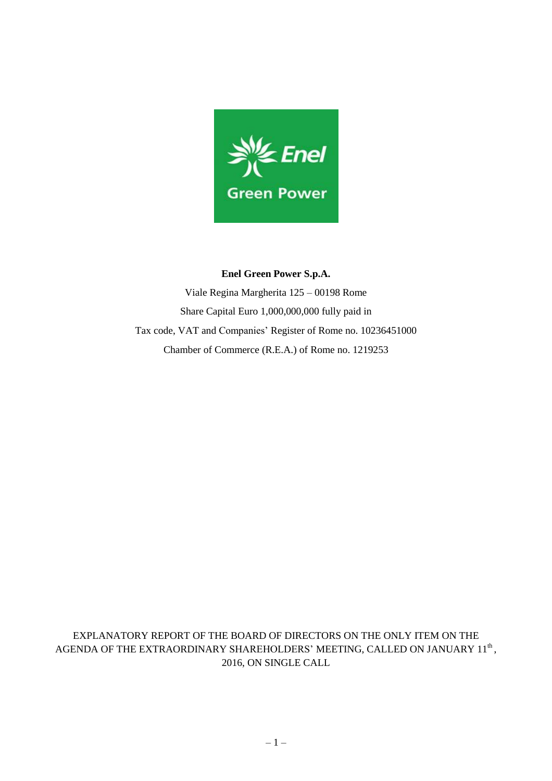

#### **Enel Green Power S.p.A.**

Viale Regina Margherita 125 – 00198 Rome Share Capital Euro 1,000,000,000 fully paid in Tax code, VAT and Companies' Register of Rome no. 10236451000 Chamber of Commerce (R.E.A.) of Rome no. 1219253

EXPLANATORY REPORT OF THE BOARD OF DIRECTORS ON THE ONLY ITEM ON THE AGENDA OF THE EXTRAORDINARY SHAREHOLDERS' MEETING, CALLED ON JANUARY  $11^{\rm th}$ , 2016, ON SINGLE CALL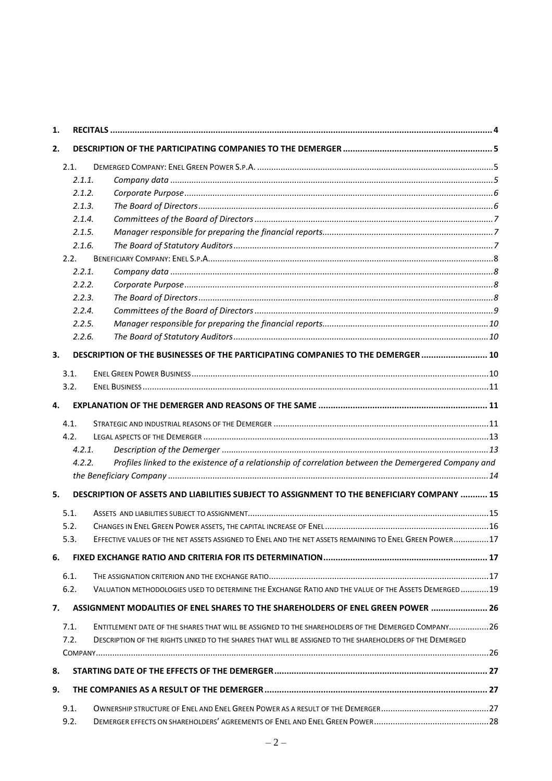| 1. |        |                                                                                                          |  |
|----|--------|----------------------------------------------------------------------------------------------------------|--|
| 2. |        |                                                                                                          |  |
|    | 2.1.   |                                                                                                          |  |
|    | 2.1.1. |                                                                                                          |  |
|    | 2.1.2. |                                                                                                          |  |
|    | 2.1.3. |                                                                                                          |  |
|    | 2.1.4. |                                                                                                          |  |
|    | 2.1.5. |                                                                                                          |  |
|    | 2.1.6. |                                                                                                          |  |
|    | 2.2.   |                                                                                                          |  |
|    | 2.2.1. |                                                                                                          |  |
|    | 2.2.2. |                                                                                                          |  |
|    | 2.2.3. |                                                                                                          |  |
|    | 2.2.4. |                                                                                                          |  |
|    | 2.2.5. |                                                                                                          |  |
|    | 2.2.6. |                                                                                                          |  |
| 3. |        | DESCRIPTION OF THE BUSINESSES OF THE PARTICIPATING COMPANIES TO THE DEMERGER  10                         |  |
|    | 3.1.   |                                                                                                          |  |
|    | 3.2.   |                                                                                                          |  |
| 4. |        |                                                                                                          |  |
|    | 4.1.   |                                                                                                          |  |
|    | 4.2.   |                                                                                                          |  |
|    | 4.2.1. |                                                                                                          |  |
|    | 4.2.2. | Profiles linked to the existence of a relationship of correlation between the Demergered Company and     |  |
|    |        |                                                                                                          |  |
| 5. |        | DESCRIPTION OF ASSETS AND LIABILITIES SUBJECT TO ASSIGNMENT TO THE BENEFICIARY COMPANY  15               |  |
|    | 5.1.   |                                                                                                          |  |
|    | 5.2.   |                                                                                                          |  |
|    | 5.3.   | EFFECTIVE VALUES OF THE NET ASSETS ASSIGNED TO ENEL AND THE NET ASSETS REMAINING TO ENEL GREEN POWER17   |  |
| 6. |        |                                                                                                          |  |
|    | 6.1.   |                                                                                                          |  |
|    | 6.2.   | VALUATION METHODOLOGIES USED TO DETERMINE THE EXCHANGE RATIO AND THE VALUE OF THE ASSETS DEMERGED19      |  |
| 7. |        | ASSIGNMENT MODALITIES OF ENEL SHARES TO THE SHAREHOLDERS OF ENEL GREEN POWER  26                         |  |
|    | 7.1.   | ENTITLEMENT DATE OF THE SHARES THAT WILL BE ASSIGNED TO THE SHAREHOLDERS OF THE DEMERGED COMPANY26       |  |
|    | 7.2.   | DESCRIPTION OF THE RIGHTS LINKED TO THE SHARES THAT WILL BE ASSIGNED TO THE SHAREHOLDERS OF THE DEMERGED |  |
|    |        |                                                                                                          |  |
| 8. |        |                                                                                                          |  |
| 9. |        |                                                                                                          |  |
|    | 9.1.   |                                                                                                          |  |
|    | 9.2.   |                                                                                                          |  |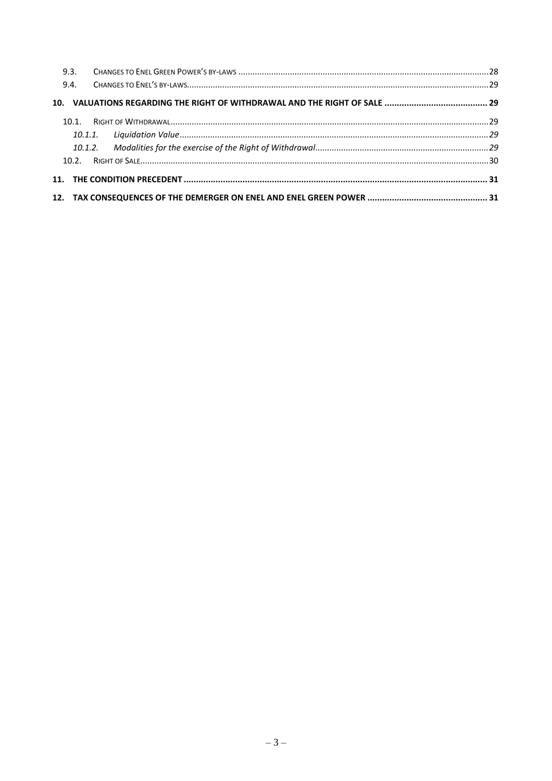| 9.4. |  |
|------|--|
|      |  |
|      |  |
|      |  |
|      |  |
|      |  |
|      |  |
|      |  |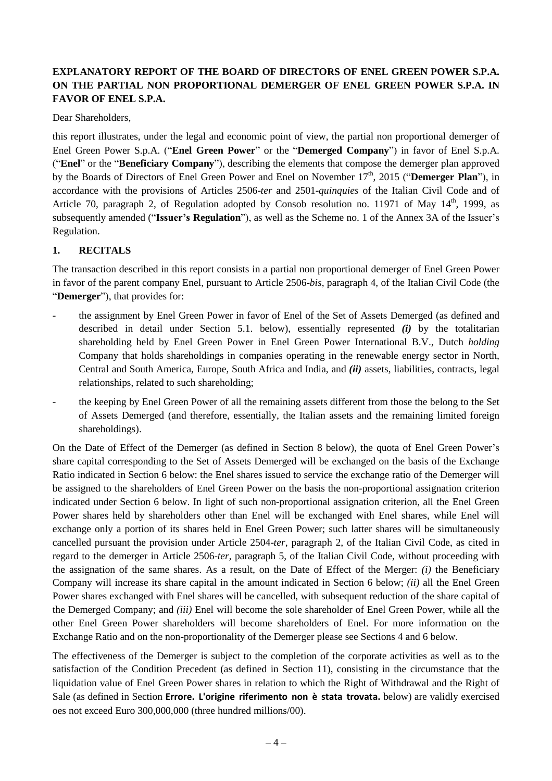# **EXPLANATORY REPORT OF THE BOARD OF DIRECTORS OF ENEL GREEN POWER S.P.A. ON THE PARTIAL NON PROPORTIONAL DEMERGER OF ENEL GREEN POWER S.P.A. IN FAVOR OF ENEL S.P.A.**

Dear Shareholders,

this report illustrates, under the legal and economic point of view, the partial non proportional demerger of Enel Green Power S.p.A. ("**Enel Green Power**" or the "**Demerged Company**") in favor of Enel S.p.A. ("**Enel**" or the "**Beneficiary Company**"), describing the elements that compose the demerger plan approved by the Boards of Directors of Enel Green Power and Enel on November 17th , 2015 ("**Demerger Plan**"), in accordance with the provisions of Articles 2506-*ter* and 2501-*quinquies* of the Italian Civil Code and of Article 70, paragraph 2, of Regulation adopted by Consob resolution no. 11971 of May 14<sup>th</sup>, 1999, as subsequently amended ("**Issuer's Regulation**"), as well as the Scheme no. 1 of the Annex 3A of the Issuer's Regulation.

## <span id="page-3-0"></span>**1. RECITALS**

The transaction described in this report consists in a partial non proportional demerger of Enel Green Power in favor of the parent company Enel, pursuant to Article 2506-*bis*, paragraph 4, of the Italian Civil Code (the "**Demerger**"), that provides for:

- the assignment by Enel Green Power in favor of Enel of the Set of Assets Demerged (as defined and described in detail under Section 5.1. below), essentially represented *(i)* by the totalitarian shareholding held by Enel Green Power in Enel Green Power International B.V., Dutch *holding* Company that holds shareholdings in companies operating in the renewable energy sector in North, Central and South America, Europe, South Africa and India, and *(ii)* assets, liabilities, contracts, legal relationships, related to such shareholding;
- the keeping by Enel Green Power of all the remaining assets different from those the belong to the Set of Assets Demerged (and therefore, essentially, the Italian assets and the remaining limited foreign shareholdings).

On the Date of Effect of the Demerger (as defined in Section [8](#page-26-0) below), the quota of Enel Green Power's share capital corresponding to the Set of Assets Demerged will be exchanged on the basis of the Exchange Ratio indicated in Section 6 below: the Enel shares issued to service the exchange ratio of the Demerger will be assigned to the shareholders of Enel Green Power on the basis the non-proportional assignation criterion indicated under Section 6 below. In light of such non-proportional assignation criterion, all the Enel Green Power shares held by shareholders other than Enel will be exchanged with Enel shares, while Enel will exchange only a portion of its shares held in Enel Green Power; such latter shares will be simultaneously cancelled pursuant the provision under Article 2504-*ter*, paragraph 2, of the Italian Civil Code, as cited in regard to the demerger in Article 2506-*ter*, paragraph 5, of the Italian Civil Code, without proceeding with the assignation of the same shares. As a result, on the Date of Effect of the Merger: *(i)* the Beneficiary Company will increase its share capital in the amount indicated in Section 6 below; *(ii)* all the Enel Green Power shares exchanged with Enel shares will be cancelled, with subsequent reduction of the share capital of the Demerged Company; and *(iii)* Enel will become the sole shareholder of Enel Green Power, while all the other Enel Green Power shareholders will become shareholders of Enel. For more information on the Exchange Ratio and on the non-proportionality of the Demerger please see Sections 4 and 6 below.

The effectiveness of the Demerger is subject to the completion of the corporate activities as well as to the satisfaction of the Condition Precedent (as defined in Section [11\)](#page-30-0), consisting in the circumstance that the liquidation value of Enel Green Power shares in relation to which the Right of Withdrawal and the Right of Sale (as defined in Section **Errore. L'origine riferimento non è stata trovata.** below) are validly exercised oes not exceed Euro 300,000,000 (three hundred millions/00).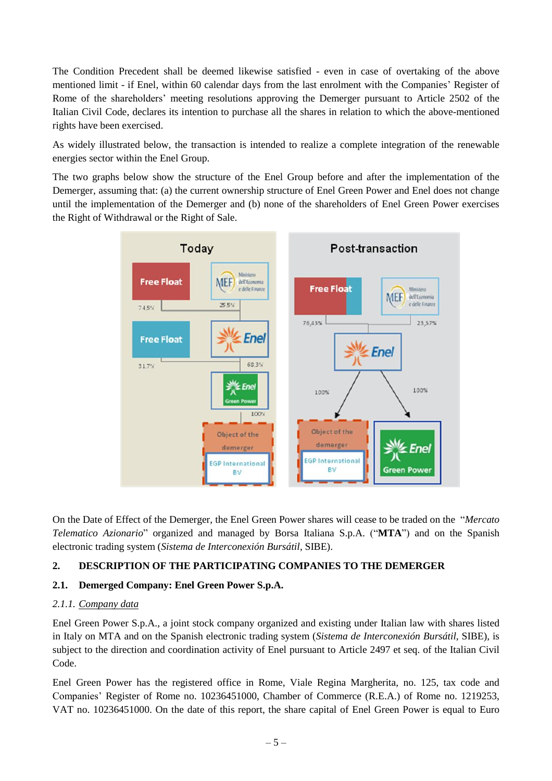The Condition Precedent shall be deemed likewise satisfied - even in case of overtaking of the above mentioned limit - if Enel, within 60 calendar days from the last enrolment with the Companies' Register of Rome of the shareholders' meeting resolutions approving the Demerger pursuant to Article 2502 of the Italian Civil Code, declares its intention to purchase all the shares in relation to which the above-mentioned rights have been exercised.

As widely illustrated below, the transaction is intended to realize a complete integration of the renewable energies sector within the Enel Group.

The two graphs below show the structure of the Enel Group before and after the implementation of the Demerger, assuming that: (a) the current ownership structure of Enel Green Power and Enel does not change until the implementation of the Demerger and (b) none of the shareholders of Enel Green Power exercises the Right of Withdrawal or the Right of Sale.



On the Date of Effect of the Demerger, the Enel Green Power shares will cease to be traded on the "*Mercato Telematico Azionario*" organized and managed by Borsa Italiana S.p.A. ("**MTA**") and on the Spanish electronic trading system (*Sistema de Interconexión Bursátil*, SIBE).

# <span id="page-4-0"></span>**2. DESCRIPTION OF THE PARTICIPATING COMPANIES TO THE DEMERGER**

### <span id="page-4-1"></span>**2.1. Demerged Company: Enel Green Power S.p.A.**

### <span id="page-4-2"></span>*2.1.1. Company data*

Enel Green Power S.p.A., a joint stock company organized and existing under Italian law with shares listed in Italy on MTA and on the Spanish electronic trading system (*Sistema de Interconexión Bursátil*, SIBE), is subject to the direction and coordination activity of Enel pursuant to Article 2497 et seq. of the Italian Civil Code.

Enel Green Power has the registered office in Rome, Viale Regina Margherita, no. 125, tax code and Companies' Register of Rome no. 10236451000, Chamber of Commerce (R.E.A.) of Rome no. 1219253, VAT no. 10236451000. On the date of this report, the share capital of Enel Green Power is equal to Euro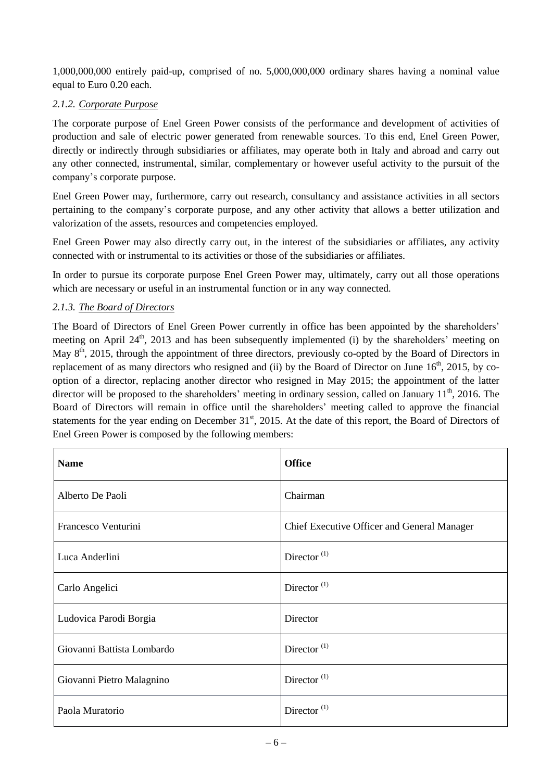1,000,000,000 entirely paid-up, comprised of no. 5,000,000,000 ordinary shares having a nominal value equal to Euro 0.20 each.

# <span id="page-5-0"></span>*2.1.2. Corporate Purpose*

The corporate purpose of Enel Green Power consists of the performance and development of activities of production and sale of electric power generated from renewable sources. To this end, Enel Green Power, directly or indirectly through subsidiaries or affiliates, may operate both in Italy and abroad and carry out any other connected, instrumental, similar, complementary or however useful activity to the pursuit of the company's corporate purpose.

Enel Green Power may, furthermore, carry out research, consultancy and assistance activities in all sectors pertaining to the company's corporate purpose, and any other activity that allows a better utilization and valorization of the assets, resources and competencies employed.

Enel Green Power may also directly carry out, in the interest of the subsidiaries or affiliates, any activity connected with or instrumental to its activities or those of the subsidiaries or affiliates.

In order to pursue its corporate purpose Enel Green Power may, ultimately, carry out all those operations which are necessary or useful in an instrumental function or in any way connected.

## <span id="page-5-1"></span>*2.1.3. The Board of Directors*

The Board of Directors of Enel Green Power currently in office has been appointed by the shareholders' meeting on April 24<sup>th</sup>, 2013 and has been subsequently implemented (i) by the shareholders' meeting on May 8<sup>th</sup>, 2015, through the appointment of three directors, previously co-opted by the Board of Directors in replacement of as many directors who resigned and (ii) by the Board of Director on June 16<sup>th</sup>, 2015, by cooption of a director, replacing another director who resigned in May 2015; the appointment of the latter director will be proposed to the shareholders' meeting in ordinary session, called on January 11<sup>th</sup>, 2016. The Board of Directors will remain in office until the shareholders' meeting called to approve the financial statements for the year ending on December 31<sup>st</sup>, 2015. At the date of this report, the Board of Directors of Enel Green Power is composed by the following members:

| <b>Name</b>                | <b>Office</b>                               |  |  |
|----------------------------|---------------------------------------------|--|--|
| Alberto De Paoli           | Chairman                                    |  |  |
| Francesco Venturini        | Chief Executive Officer and General Manager |  |  |
| Luca Anderlini             | Director <sup>(1)</sup>                     |  |  |
| Carlo Angelici             | Director <sup>(1)</sup>                     |  |  |
| Ludovica Parodi Borgia     | Director                                    |  |  |
| Giovanni Battista Lombardo | Director $^{(1)}$                           |  |  |
| Giovanni Pietro Malagnino  | Director $^{(1)}$                           |  |  |
| Paola Muratorio            | Director $(1)$                              |  |  |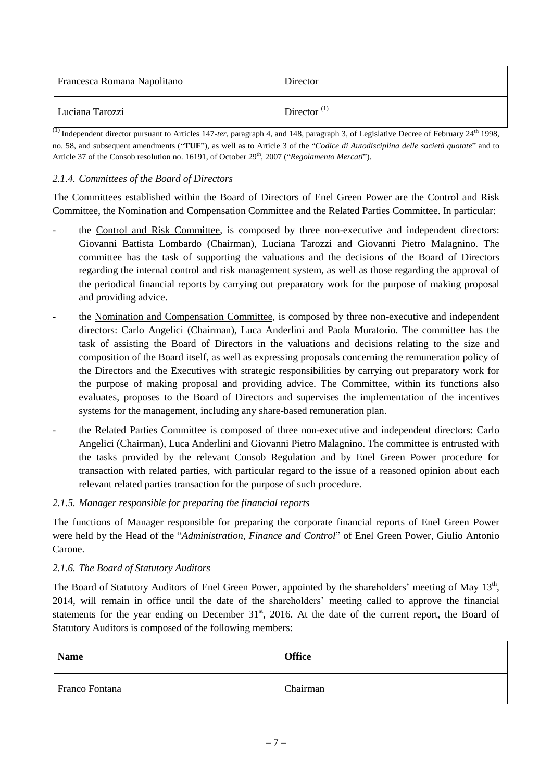| Francesca Romana Napolitano | Director       |
|-----------------------------|----------------|
| Luciana Tarozzi             | Director $(1)$ |

<sup>(1)</sup> Independent director pursuant to Articles 147-ter, paragraph 4, and 148, paragraph 3, of Legislative Decree of February 24<sup>th</sup> 1998, no. 58, and subsequent amendments ("**TUF**"), as well as to Article 3 of the "*Codice di Autodisciplina delle società quotate*" and to Article 37 of the Consob resolution no. 16191, of October 29<sup>th</sup>, 2007 ("Regolamento Mercati").

## <span id="page-6-0"></span>*2.1.4. Committees of the Board of Directors*

The Committees established within the Board of Directors of Enel Green Power are the Control and Risk Committee, the Nomination and Compensation Committee and the Related Parties Committee. In particular:

- the Control and Risk Committee, is composed by three non-executive and independent directors: Giovanni Battista Lombardo (Chairman), Luciana Tarozzi and Giovanni Pietro Malagnino. The committee has the task of supporting the valuations and the decisions of the Board of Directors regarding the internal control and risk management system, as well as those regarding the approval of the periodical financial reports by carrying out preparatory work for the purpose of making proposal and providing advice.
- the Nomination and Compensation Committee, is composed by three non-executive and independent directors: Carlo Angelici (Chairman), Luca Anderlini and Paola Muratorio. The committee has the task of assisting the Board of Directors in the valuations and decisions relating to the size and composition of the Board itself, as well as expressing proposals concerning the remuneration policy of the Directors and the Executives with strategic responsibilities by carrying out preparatory work for the purpose of making proposal and providing advice. The Committee, within its functions also evaluates, proposes to the Board of Directors and supervises the implementation of the incentives systems for the management, including any share-based remuneration plan.
- the Related Parties Committee is composed of three non-executive and independent directors: Carlo Angelici (Chairman), Luca Anderlini and Giovanni Pietro Malagnino. The committee is entrusted with the tasks provided by the relevant Consob Regulation and by Enel Green Power procedure for transaction with related parties, with particular regard to the issue of a reasoned opinion about each relevant related parties transaction for the purpose of such procedure.

### <span id="page-6-1"></span>*2.1.5. Manager responsible for preparing the financial reports*

The functions of Manager responsible for preparing the corporate financial reports of Enel Green Power were held by the Head of the "*Administration, Finance and Control*" of Enel Green Power, Giulio Antonio Carone.

### <span id="page-6-2"></span>*2.1.6. The Board of Statutory Auditors*

The Board of Statutory Auditors of Enel Green Power, appointed by the shareholders' meeting of May 13<sup>th</sup>, 2014, will remain in office until the date of the shareholders' meeting called to approve the financial statements for the year ending on December 31<sup>st</sup>, 2016. At the date of the current report, the Board of Statutory Auditors is composed of the following members:

| <b>Name</b>    | <b>Office</b> |
|----------------|---------------|
| Franco Fontana | Chairman      |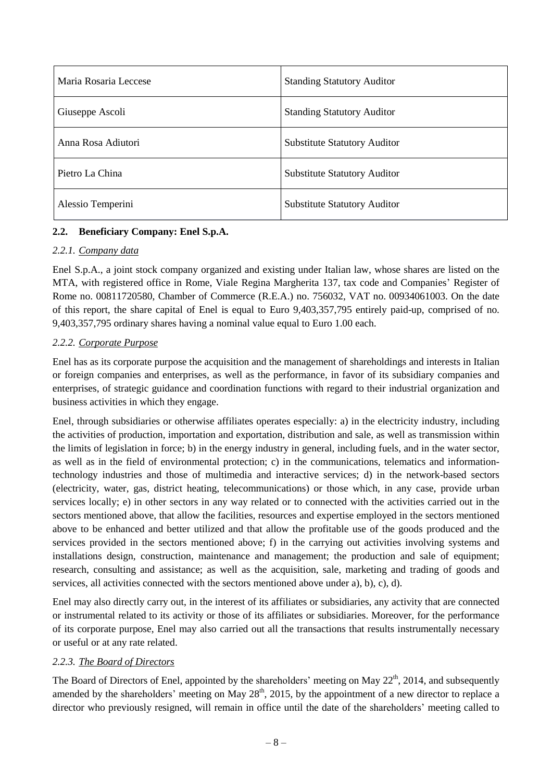| Maria Rosaria Leccese | <b>Standing Statutory Auditor</b>   |  |
|-----------------------|-------------------------------------|--|
| Giuseppe Ascoli       | <b>Standing Statutory Auditor</b>   |  |
| Anna Rosa Adiutori    | <b>Substitute Statutory Auditor</b> |  |
| Pietro La China       | <b>Substitute Statutory Auditor</b> |  |
| Alessio Temperini     | <b>Substitute Statutory Auditor</b> |  |

## <span id="page-7-0"></span>**2.2. Beneficiary Company: Enel S.p.A.**

### <span id="page-7-1"></span>*2.2.1. Company data*

Enel S.p.A., a joint stock company organized and existing under Italian law, whose shares are listed on the MTA, with registered office in Rome, Viale Regina Margherita 137, tax code and Companies' Register of Rome no. 00811720580, Chamber of Commerce (R.E.A.) no. 756032, VAT no. 00934061003. On the date of this report, the share capital of Enel is equal to Euro 9,403,357,795 entirely paid-up, comprised of no. 9,403,357,795 ordinary shares having a nominal value equal to Euro 1.00 each.

### <span id="page-7-2"></span>*2.2.2. Corporate Purpose*

Enel has as its corporate purpose the acquisition and the management of shareholdings and interests in Italian or foreign companies and enterprises, as well as the performance, in favor of its subsidiary companies and enterprises, of strategic guidance and coordination functions with regard to their industrial organization and business activities in which they engage.

Enel, through subsidiaries or otherwise affiliates operates especially: a) in the electricity industry, including the activities of production, importation and exportation, distribution and sale, as well as transmission within the limits of legislation in force; b) in the energy industry in general, including fuels, and in the water sector, as well as in the field of environmental protection; c) in the communications, telematics and informationtechnology industries and those of multimedia and interactive services; d) in the network-based sectors (electricity, water, gas, district heating, telecommunications) or those which, in any case, provide urban services locally; e) in other sectors in any way related or to connected with the activities carried out in the sectors mentioned above, that allow the facilities, resources and expertise employed in the sectors mentioned above to be enhanced and better utilized and that allow the profitable use of the goods produced and the services provided in the sectors mentioned above; f) in the carrying out activities involving systems and installations design, construction, maintenance and management; the production and sale of equipment; research, consulting and assistance; as well as the acquisition, sale, marketing and trading of goods and services, all activities connected with the sectors mentioned above under a), b), c), d).

Enel may also directly carry out, in the interest of its affiliates or subsidiaries, any activity that are connected or instrumental related to its activity or those of its affiliates or subsidiaries. Moreover, for the performance of its corporate purpose, Enel may also carried out all the transactions that results instrumentally necessary or useful or at any rate related.

### <span id="page-7-3"></span>*2.2.3. The Board of Directors*

The Board of Directors of Enel, appointed by the shareholders' meeting on May 22<sup>th</sup>, 2014, and subsequently amended by the shareholders' meeting on May  $28<sup>th</sup>$ , 2015, by the appointment of a new director to replace a director who previously resigned, will remain in office until the date of the shareholders' meeting called to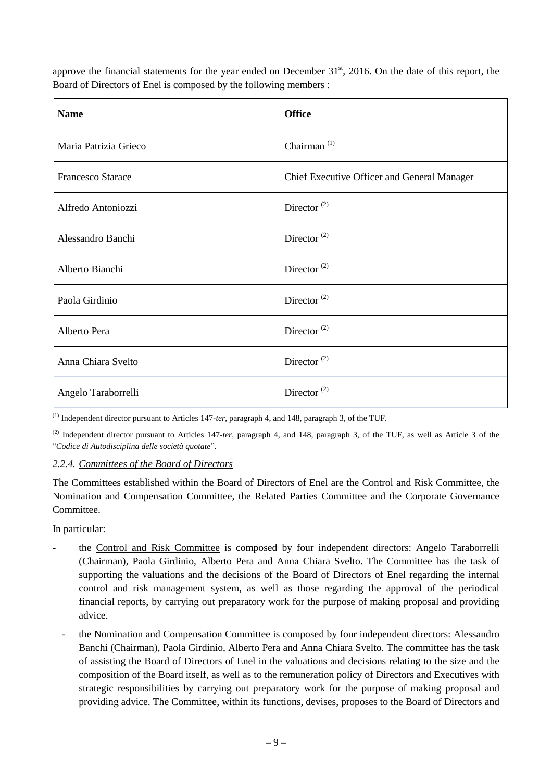approve the financial statements for the year ended on December 31<sup>st</sup>, 2016. On the date of this report, the Board of Directors of Enel is composed by the following members :

| <b>Name</b>           | <b>Office</b>                               |  |  |
|-----------------------|---------------------------------------------|--|--|
| Maria Patrizia Grieco | Chairman $(1)$                              |  |  |
| Francesco Starace     | Chief Executive Officer and General Manager |  |  |
| Alfredo Antoniozzi    | Director <sup>(2)</sup>                     |  |  |
| Alessandro Banchi     | Director <sup><math>(2)</math></sup>        |  |  |
| Alberto Bianchi       | Director <sup>(2)</sup>                     |  |  |
| Paola Girdinio        | Director $^{(2)}$                           |  |  |
| Alberto Pera          | Director <sup><math>(2)</math></sup>        |  |  |
| Anna Chiara Svelto    | Director <sup><math>(2)</math></sup>        |  |  |
| Angelo Taraborrelli   | Director <sup><math>(2)</math></sup>        |  |  |

(1) Independent director pursuant to Articles 147-*ter*, paragraph 4, and 148, paragraph 3, of the TUF.

(2) Independent director pursuant to Articles 147-*ter*, paragraph 4, and 148, paragraph 3, of the TUF, as well as Article 3 of the "*Codice di Autodisciplina delle società quotate*".

### <span id="page-8-0"></span>*2.2.4. Committees of the Board of Directors*

The Committees established within the Board of Directors of Enel are the Control and Risk Committee, the Nomination and Compensation Committee, the Related Parties Committee and the Corporate Governance Committee.

In particular:

- the Control and Risk Committee is composed by four independent directors: Angelo Taraborrelli (Chairman), Paola Girdinio, Alberto Pera and Anna Chiara Svelto. The Committee has the task of supporting the valuations and the decisions of the Board of Directors of Enel regarding the internal control and risk management system, as well as those regarding the approval of the periodical financial reports, by carrying out preparatory work for the purpose of making proposal and providing advice.
	- the Nomination and Compensation Committee is composed by four independent directors: Alessandro Banchi (Chairman), Paola Girdinio, Alberto Pera and Anna Chiara Svelto. The committee has the task of assisting the Board of Directors of Enel in the valuations and decisions relating to the size and the composition of the Board itself, as well as to the remuneration policy of Directors and Executives with strategic responsibilities by carrying out preparatory work for the purpose of making proposal and providing advice. The Committee, within its functions, devises, proposes to the Board of Directors and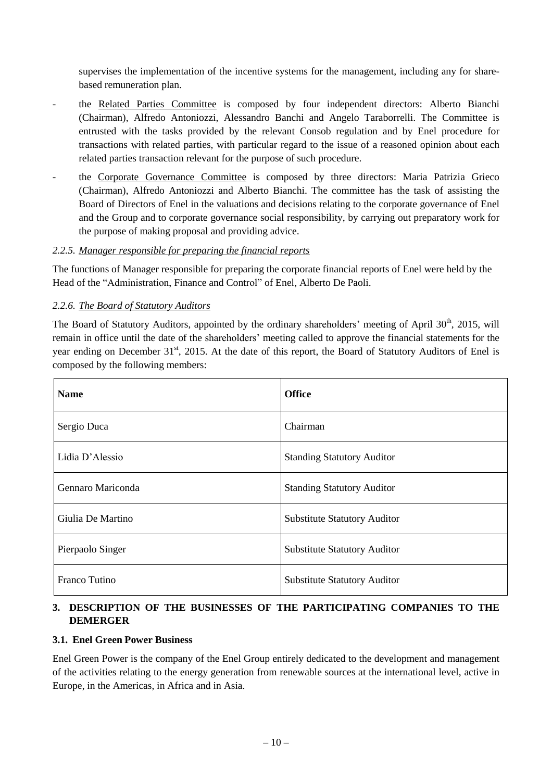supervises the implementation of the incentive systems for the management, including any for sharebased remuneration plan.

- the Related Parties Committee is composed by four independent directors: Alberto Bianchi (Chairman), Alfredo Antoniozzi, Alessandro Banchi and Angelo Taraborrelli. The Committee is entrusted with the tasks provided by the relevant Consob regulation and by Enel procedure for transactions with related parties, with particular regard to the issue of a reasoned opinion about each related parties transaction relevant for the purpose of such procedure.
- the Corporate Governance Committee is composed by three directors: Maria Patrizia Grieco (Chairman), Alfredo Antoniozzi and Alberto Bianchi. The committee has the task of assisting the Board of Directors of Enel in the valuations and decisions relating to the corporate governance of Enel and the Group and to corporate governance social responsibility, by carrying out preparatory work for the purpose of making proposal and providing advice.

### <span id="page-9-0"></span>*2.2.5. Manager responsible for preparing the financial reports*

The functions of Manager responsible for preparing the corporate financial reports of Enel were held by the Head of the "Administration, Finance and Control" of Enel, Alberto De Paoli.

### <span id="page-9-1"></span>*2.2.6. The Board of Statutory Auditors*

The Board of Statutory Auditors, appointed by the ordinary shareholders' meeting of April 30<sup>th</sup>, 2015, will remain in office until the date of the shareholders' meeting called to approve the financial statements for the year ending on December 31<sup>st</sup>, 2015. At the date of this report, the Board of Statutory Auditors of Enel is composed by the following members:

| <b>Name</b>       | <b>Office</b>                       |  |  |
|-------------------|-------------------------------------|--|--|
| Sergio Duca       | Chairman                            |  |  |
| Lidia D'Alessio   | <b>Standing Statutory Auditor</b>   |  |  |
| Gennaro Mariconda | <b>Standing Statutory Auditor</b>   |  |  |
| Giulia De Martino | <b>Substitute Statutory Auditor</b> |  |  |
| Pierpaolo Singer  | <b>Substitute Statutory Auditor</b> |  |  |
| Franco Tutino     | <b>Substitute Statutory Auditor</b> |  |  |

# <span id="page-9-2"></span>**3. DESCRIPTION OF THE BUSINESSES OF THE PARTICIPATING COMPANIES TO THE DEMERGER**

#### <span id="page-9-3"></span>**3.1. Enel Green Power Business**

Enel Green Power is the company of the Enel Group entirely dedicated to the development and management of the activities relating to the energy generation from renewable sources at the international level, active in Europe, in the Americas, in Africa and in Asia.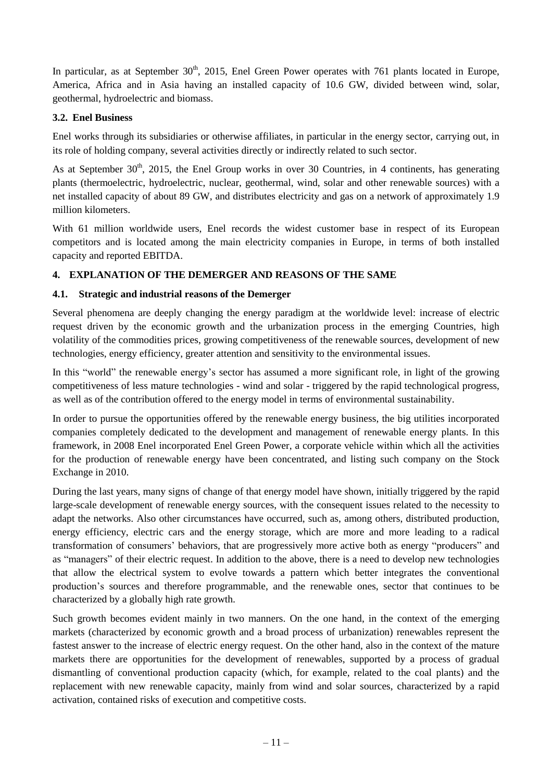In particular, as at September 30<sup>th</sup>, 2015, Enel Green Power operates with 761 plants located in Europe, America, Africa and in Asia having an installed capacity of 10.6 GW, divided between wind, solar, geothermal, hydroelectric and biomass.

## <span id="page-10-0"></span>**3.2. Enel Business**

Enel works through its subsidiaries or otherwise affiliates, in particular in the energy sector, carrying out, in its role of holding company, several activities directly or indirectly related to such sector.

As at September  $30<sup>th</sup>$ , 2015, the Enel Group works in over 30 Countries, in 4 continents, has generating plants (thermoelectric, hydroelectric, nuclear, geothermal, wind, solar and other renewable sources) with a net installed capacity of about 89 GW, and distributes electricity and gas on a network of approximately 1.9 million kilometers.

With 61 million worldwide users, Enel records the widest customer base in respect of its European competitors and is located among the main electricity companies in Europe, in terms of both installed capacity and reported EBITDA.

# <span id="page-10-1"></span>**4. EXPLANATION OF THE DEMERGER AND REASONS OF THE SAME**

# <span id="page-10-2"></span>**4.1. Strategic and industrial reasons of the Demerger**

Several phenomena are deeply changing the energy paradigm at the worldwide level: increase of electric request driven by the economic growth and the urbanization process in the emerging Countries, high volatility of the commodities prices, growing competitiveness of the renewable sources, development of new technologies, energy efficiency, greater attention and sensitivity to the environmental issues.

In this "world" the renewable energy's sector has assumed a more significant role, in light of the growing competitiveness of less mature technologies - wind and solar - triggered by the rapid technological progress, as well as of the contribution offered to the energy model in terms of environmental sustainability.

In order to pursue the opportunities offered by the renewable energy business, the big utilities incorporated companies completely dedicated to the development and management of renewable energy plants. In this framework, in 2008 Enel incorporated Enel Green Power, a corporate vehicle within which all the activities for the production of renewable energy have been concentrated, and listing such company on the Stock Exchange in 2010.

During the last years, many signs of change of that energy model have shown, initially triggered by the rapid large-scale development of renewable energy sources, with the consequent issues related to the necessity to adapt the networks. Also other circumstances have occurred, such as, among others, distributed production, energy efficiency, electric cars and the energy storage, which are more and more leading to a radical transformation of consumers' behaviors, that are progressively more active both as energy "producers" and as "managers" of their electric request. In addition to the above, there is a need to develop new technologies that allow the electrical system to evolve towards a pattern which better integrates the conventional production's sources and therefore programmable, and the renewable ones, sector that continues to be characterized by a globally high rate growth.

Such growth becomes evident mainly in two manners. On the one hand, in the context of the emerging markets (characterized by economic growth and a broad process of urbanization) renewables represent the fastest answer to the increase of electric energy request. On the other hand, also in the context of the mature markets there are opportunities for the development of renewables, supported by a process of gradual dismantling of conventional production capacity (which, for example, related to the coal plants) and the replacement with new renewable capacity, mainly from wind and solar sources, characterized by a rapid activation, contained risks of execution and competitive costs.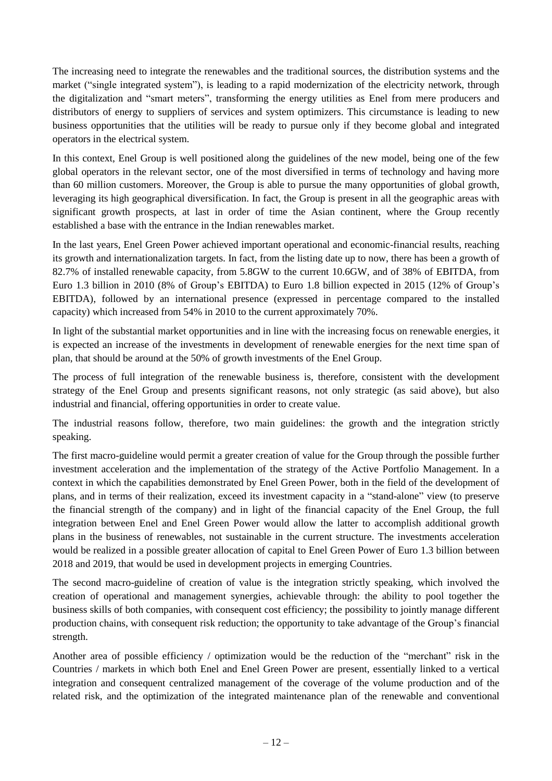The increasing need to integrate the renewables and the traditional sources, the distribution systems and the market ("single integrated system"), is leading to a rapid modernization of the electricity network, through the digitalization and "smart meters", transforming the energy utilities as Enel from mere producers and distributors of energy to suppliers of services and system optimizers. This circumstance is leading to new business opportunities that the utilities will be ready to pursue only if they become global and integrated operators in the electrical system.

In this context, Enel Group is well positioned along the guidelines of the new model, being one of the few global operators in the relevant sector, one of the most diversified in terms of technology and having more than 60 million customers. Moreover, the Group is able to pursue the many opportunities of global growth, leveraging its high geographical diversification. In fact, the Group is present in all the geographic areas with significant growth prospects, at last in order of time the Asian continent, where the Group recently established a base with the entrance in the Indian renewables market.

In the last years, Enel Green Power achieved important operational and economic-financial results, reaching its growth and internationalization targets. In fact, from the listing date up to now, there has been a growth of 82.7% of installed renewable capacity, from 5.8GW to the current 10.6GW, and of 38% of EBITDA, from Euro 1.3 billion in 2010 (8% of Group's EBITDA) to Euro 1.8 billion expected in 2015 (12% of Group's EBITDA), followed by an international presence (expressed in percentage compared to the installed capacity) which increased from 54% in 2010 to the current approximately 70%.

In light of the substantial market opportunities and in line with the increasing focus on renewable energies, it is expected an increase of the investments in development of renewable energies for the next time span of plan, that should be around at the 50% of growth investments of the Enel Group.

The process of full integration of the renewable business is, therefore, consistent with the development strategy of the Enel Group and presents significant reasons, not only strategic (as said above), but also industrial and financial, offering opportunities in order to create value.

The industrial reasons follow, therefore, two main guidelines: the growth and the integration strictly speaking.

The first macro-guideline would permit a greater creation of value for the Group through the possible further investment acceleration and the implementation of the strategy of the Active Portfolio Management. In a context in which the capabilities demonstrated by Enel Green Power, both in the field of the development of plans, and in terms of their realization, exceed its investment capacity in a "stand-alone" view (to preserve the financial strength of the company) and in light of the financial capacity of the Enel Group, the full integration between Enel and Enel Green Power would allow the latter to accomplish additional growth plans in the business of renewables, not sustainable in the current structure. The investments acceleration would be realized in a possible greater allocation of capital to Enel Green Power of Euro 1.3 billion between 2018 and 2019, that would be used in development projects in emerging Countries.

The second macro-guideline of creation of value is the integration strictly speaking, which involved the creation of operational and management synergies, achievable through: the ability to pool together the business skills of both companies, with consequent cost efficiency; the possibility to jointly manage different production chains, with consequent risk reduction; the opportunity to take advantage of the Group's financial strength.

Another area of possible efficiency / optimization would be the reduction of the "merchant" risk in the Countries / markets in which both Enel and Enel Green Power are present, essentially linked to a vertical integration and consequent centralized management of the coverage of the volume production and of the related risk, and the optimization of the integrated maintenance plan of the renewable and conventional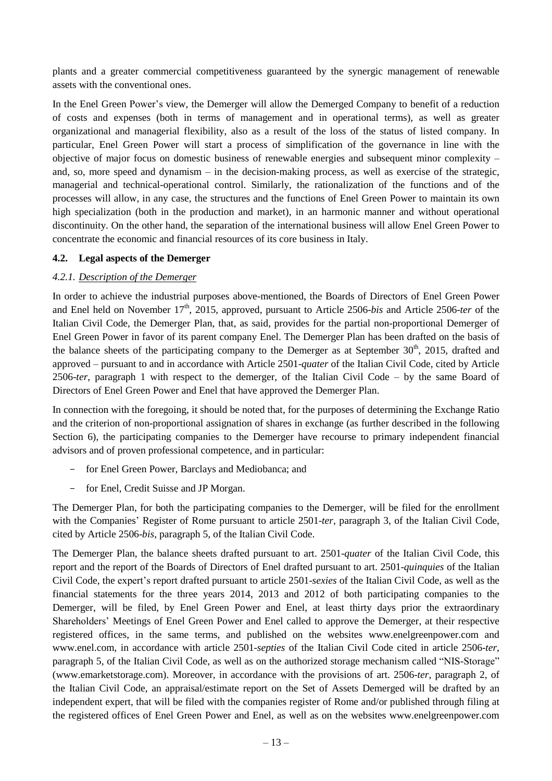plants and a greater commercial competitiveness guaranteed by the synergic management of renewable assets with the conventional ones.

In the Enel Green Power's view, the Demerger will allow the Demerged Company to benefit of a reduction of costs and expenses (both in terms of management and in operational terms), as well as greater organizational and managerial flexibility, also as a result of the loss of the status of listed company. In particular, Enel Green Power will start a process of simplification of the governance in line with the objective of major focus on domestic business of renewable energies and subsequent minor complexity – and, so, more speed and dynamism – in the decision-making process, as well as exercise of the strategic, managerial and technical-operational control. Similarly, the rationalization of the functions and of the processes will allow, in any case, the structures and the functions of Enel Green Power to maintain its own high specialization (both in the production and market), in an harmonic manner and without operational discontinuity. On the other hand, the separation of the international business will allow Enel Green Power to concentrate the economic and financial resources of its core business in Italy.

### <span id="page-12-0"></span>**4.2. Legal aspects of the Demerger**

#### <span id="page-12-1"></span>*4.2.1. Description of the Demerger*

In order to achieve the industrial purposes above-mentioned, the Boards of Directors of Enel Green Power and Enel held on November 17<sup>th</sup>, 2015, approved, pursuant to Article 2506-*bis* and Article 2506-ter of the Italian Civil Code, the Demerger Plan, that, as said, provides for the partial non-proportional Demerger of Enel Green Power in favor of its parent company Enel. The Demerger Plan has been drafted on the basis of the balance sheets of the participating company to the Demerger as at September  $30<sup>th</sup>$ ,  $2015$ , drafted and approved – pursuant to and in accordance with Article 2501-*quater* of the Italian Civil Code, cited by Article 2506-*ter*, paragraph 1 with respect to the demerger, of the Italian Civil Code – by the same Board of Directors of Enel Green Power and Enel that have approved the Demerger Plan.

In connection with the foregoing, it should be noted that, for the purposes of determining the Exchange Ratio and the criterion of non-proportional assignation of shares in exchange (as further described in the following Section 6), the participating companies to the Demerger have recourse to primary independent financial advisors and of proven professional competence, and in particular:

- for Enel Green Power, Barclays and Mediobanca; and
- for Enel, Credit Suisse and JP Morgan.

The Demerger Plan, for both the participating companies to the Demerger, will be filed for the enrollment with the Companies' Register of Rome pursuant to article 2501-*ter*, paragraph 3, of the Italian Civil Code, cited by Article 2506-*bis*, paragraph 5, of the Italian Civil Code.

The Demerger Plan, the balance sheets drafted pursuant to art. 2501-*quater* of the Italian Civil Code, this report and the report of the Boards of Directors of Enel drafted pursuant to art. 2501-*quinquies* of the Italian Civil Code, the expert's report drafted pursuant to article 2501-*sexies* of the Italian Civil Code, as well as the financial statements for the three years 2014, 2013 and 2012 of both participating companies to the Demerger, will be filed, by Enel Green Power and Enel, at least thirty days prior the extraordinary Shareholders' Meetings of Enel Green Power and Enel called to approve the Demerger, at their respective registered offices, in the same terms, and published on the websites www.enelgreenpower.com and www.enel.com, in accordance with article 2501-*septies* of the Italian Civil Code cited in article 2506-*ter*, paragraph 5, of the Italian Civil Code, as well as on the authorized storage mechanism called "NIS-Storage" [\(www.emarketstorage.com\)](http://www.emarketstorage.com/). Moreover, in accordance with the provisions of art. 2506-*ter*, paragraph 2, of the Italian Civil Code, an appraisal/estimate report on the Set of Assets Demerged will be drafted by an independent expert, that will be filed with the companies register of Rome and/or published through filing at the registered offices of Enel Green Power and Enel, as well as on the websites www.enelgreenpower.com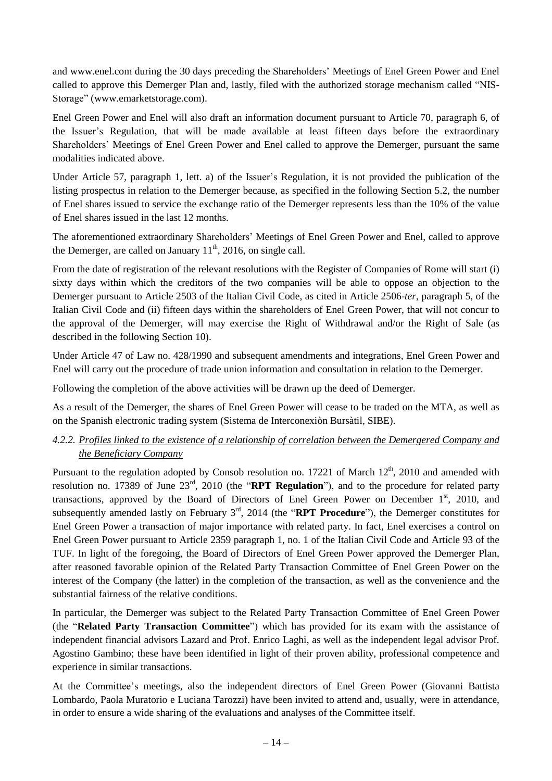and www.enel.com during the 30 days preceding the Shareholders' Meetings of Enel Green Power and Enel called to approve this Demerger Plan and, lastly, filed with the authorized storage mechanism called "NIS-Storage" (www.emarketstorage.com).

Enel Green Power and Enel will also draft an information document pursuant to Article 70, paragraph 6, of the Issuer's Regulation, that will be made available at least fifteen days before the extraordinary Shareholders' Meetings of Enel Green Power and Enel called to approve the Demerger, pursuant the same modalities indicated above.

Under Article 57, paragraph 1, lett. a) of the Issuer's Regulation, it is not provided the publication of the listing prospectus in relation to the Demerger because, as specified in the following Section 5.2, the number of Enel shares issued to service the exchange ratio of the Demerger represents less than the 10% of the value of Enel shares issued in the last 12 months.

The aforementioned extraordinary Shareholders' Meetings of Enel Green Power and Enel, called to approve the Demerger, are called on January  $11<sup>th</sup>$ , 2016, on single call.

From the date of registration of the relevant resolutions with the Register of Companies of Rome will start (i) sixty days within which the creditors of the two companies will be able to oppose an objection to the Demerger pursuant to Article 2503 of the Italian Civil Code, as cited in Article 2506-*ter*, paragraph 5, of the Italian Civil Code and (ii) fifteen days within the shareholders of Enel Green Power, that will not concur to the approval of the Demerger, will may exercise the Right of Withdrawal and/or the Right of Sale (as described in the following Section 10).

Under Article 47 of Law no. 428/1990 and subsequent amendments and integrations, Enel Green Power and Enel will carry out the procedure of trade union information and consultation in relation to the Demerger.

Following the completion of the above activities will be drawn up the deed of Demerger.

As a result of the Demerger, the shares of Enel Green Power will cease to be traded on the MTA, as well as on the Spanish electronic trading system (Sistema de Interconexiòn Bursàtil, SIBE).

## <span id="page-13-0"></span>*4.2.2. Profiles linked to the existence of a relationship of correlation between the Demergered Company and the Beneficiary Company*

Pursuant to the regulation adopted by Consob resolution no. 17221 of March  $12^{th}$ , 2010 and amended with resolution no. 17389 of June 23<sup>rd</sup>, 2010 (the "**RPT Regulation**"), and to the procedure for related party transactions, approved by the Board of Directors of Enel Green Power on December 1st, 2010, and subsequently amended lastly on February 3<sup>rd</sup>, 2014 (the "**RPT Procedure**"), the Demerger constitutes for Enel Green Power a transaction of major importance with related party. In fact, Enel exercises a control on Enel Green Power pursuant to Article 2359 paragraph 1, no. 1 of the Italian Civil Code and Article 93 of the TUF. In light of the foregoing, the Board of Directors of Enel Green Power approved the Demerger Plan, after reasoned favorable opinion of the Related Party Transaction Committee of Enel Green Power on the interest of the Company (the latter) in the completion of the transaction, as well as the convenience and the substantial fairness of the relative conditions.

In particular, the Demerger was subject to the Related Party Transaction Committee of Enel Green Power (the "**Related Party Transaction Committee**") which has provided for its exam with the assistance of independent financial advisors Lazard and Prof. Enrico Laghi, as well as the independent legal advisor Prof. Agostino Gambino; these have been identified in light of their proven ability, professional competence and experience in similar transactions.

At the Committee's meetings, also the independent directors of Enel Green Power (Giovanni Battista Lombardo, Paola Muratorio e Luciana Tarozzi) have been invited to attend and, usually, were in attendance, in order to ensure a wide sharing of the evaluations and analyses of the Committee itself.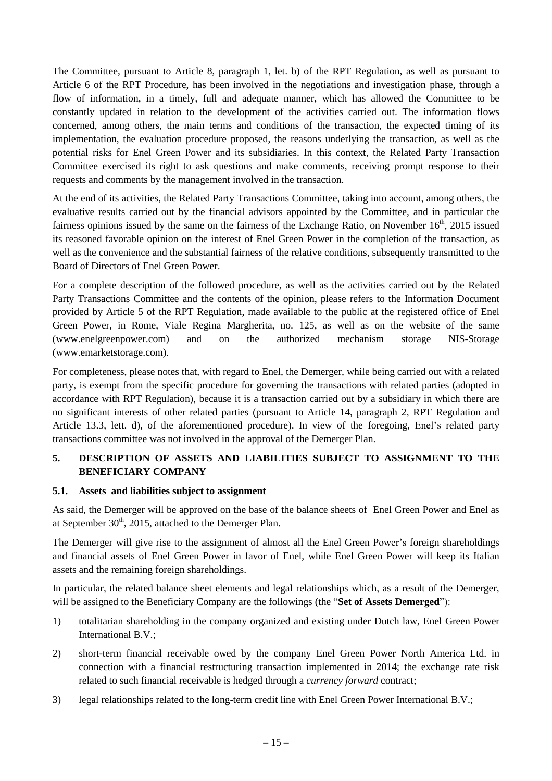The Committee, pursuant to Article 8, paragraph 1, let. b) of the RPT Regulation, as well as pursuant to Article 6 of the RPT Procedure, has been involved in the negotiations and investigation phase, through a flow of information, in a timely, full and adequate manner, which has allowed the Committee to be constantly updated in relation to the development of the activities carried out. The information flows concerned, among others, the main terms and conditions of the transaction, the expected timing of its implementation, the evaluation procedure proposed, the reasons underlying the transaction, as well as the potential risks for Enel Green Power and its subsidiaries. In this context, the Related Party Transaction Committee exercised its right to ask questions and make comments, receiving prompt response to their requests and comments by the management involved in the transaction.

At the end of its activities, the Related Party Transactions Committee, taking into account, among others, the evaluative results carried out by the financial advisors appointed by the Committee, and in particular the fairness opinions issued by the same on the fairness of the Exchange Ratio, on November 16<sup>th</sup>, 2015 issued its reasoned favorable opinion on the interest of Enel Green Power in the completion of the transaction, as well as the convenience and the substantial fairness of the relative conditions, subsequently transmitted to the Board of Directors of Enel Green Power.

For a complete description of the followed procedure, as well as the activities carried out by the Related Party Transactions Committee and the contents of the opinion, please refers to the Information Document provided by Article 5 of the RPT Regulation, made available to the public at the registered office of Enel Green Power, in Rome, Viale Regina Margherita, no. 125, as well as on the website of the same (www.enelgreenpower.com) and on the authorized mechanism storage NIS-Storage (www.emarketstorage.com).

For completeness, please notes that, with regard to Enel, the Demerger, while being carried out with a related party, is exempt from the specific procedure for governing the transactions with related parties (adopted in accordance with RPT Regulation), because it is a transaction carried out by a subsidiary in which there are no significant interests of other related parties (pursuant to Article 14, paragraph 2, RPT Regulation and Article 13.3, lett. d), of the aforementioned procedure). In view of the foregoing, Enel's related party transactions committee was not involved in the approval of the Demerger Plan.

## <span id="page-14-0"></span>**5. DESCRIPTION OF ASSETS AND LIABILITIES SUBJECT TO ASSIGNMENT TO THE BENEFICIARY COMPANY**

### <span id="page-14-1"></span>**5.1. Assets and liabilities subject to assignment**

As said, the Demerger will be approved on the base of the balance sheets of Enel Green Power and Enel as at September  $30<sup>th</sup>$ , 2015, attached to the Demerger Plan.

The Demerger will give rise to the assignment of almost all the Enel Green Power's foreign shareholdings and financial assets of Enel Green Power in favor of Enel, while Enel Green Power will keep its Italian assets and the remaining foreign shareholdings.

In particular, the related balance sheet elements and legal relationships which, as a result of the Demerger, will be assigned to the Beneficiary Company are the followings (the "**Set of Assets Demerged**"):

- 1) totalitarian shareholding in the company organized and existing under Dutch law, Enel Green Power International B.V.;
- 2) short-term financial receivable owed by the company Enel Green Power North America Ltd. in connection with a financial restructuring transaction implemented in 2014; the exchange rate risk related to such financial receivable is hedged through a *currency forward* contract;
- 3) legal relationships related to the long-term credit line with Enel Green Power International B.V.;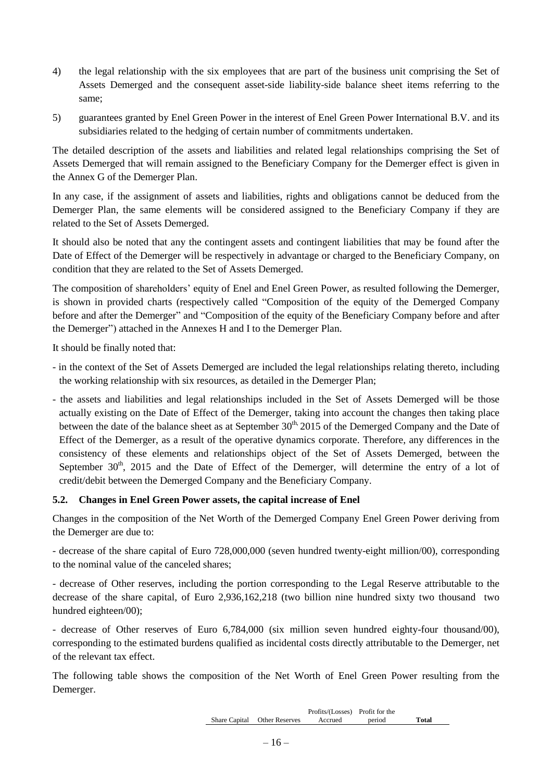- 4) the legal relationship with the six employees that are part of the business unit comprising the Set of Assets Demerged and the consequent asset-side liability-side balance sheet items referring to the same;
- 5) guarantees granted by Enel Green Power in the interest of Enel Green Power International B.V. and its subsidiaries related to the hedging of certain number of commitments undertaken.

The detailed description of the assets and liabilities and related legal relationships comprising the Set of Assets Demerged that will remain assigned to the Beneficiary Company for the Demerger effect is given in the Annex G of the Demerger Plan.

In any case, if the assignment of assets and liabilities, rights and obligations cannot be deduced from the Demerger Plan, the same elements will be considered assigned to the Beneficiary Company if they are related to the Set of Assets Demerged.

It should also be noted that any the contingent assets and contingent liabilities that may be found after the Date of Effect of the Demerger will be respectively in advantage or charged to the Beneficiary Company, on condition that they are related to the Set of Assets Demerged.

The composition of shareholders' equity of Enel and Enel Green Power, as resulted following the Demerger, is shown in provided charts (respectively called "Composition of the equity of the Demerged Company before and after the Demerger" and "Composition of the equity of the Beneficiary Company before and after the Demerger") attached in the Annexes H and I to the Demerger Plan.

It should be finally noted that:

- in the context of the Set of Assets Demerged are included the legal relationships relating thereto, including the working relationship with six resources, as detailed in the Demerger Plan;
- the assets and liabilities and legal relationships included in the Set of Assets Demerged will be those actually existing on the Date of Effect of the Demerger, taking into account the changes then taking place between the date of the balance sheet as at September  $30<sup>th</sup>$ , 2015 of the Demerged Company and the Date of Effect of the Demerger, as a result of the operative dynamics corporate. Therefore, any differences in the consistency of these elements and relationships object of the Set of Assets Demerged, between the September  $30<sup>th</sup>$ ,  $2015$  and the Date of Effect of the Demerger, will determine the entry of a lot of credit/debit between the Demerged Company and the Beneficiary Company.

### <span id="page-15-0"></span>**5.2. Changes in Enel Green Power assets, the capital increase of Enel**

Changes in the composition of the Net Worth of the Demerged Company Enel Green Power deriving from the Demerger are due to:

- decrease of the share capital of Euro 728,000,000 (seven hundred twenty-eight million/00), corresponding to the nominal value of the canceled shares;

- decrease of Other reserves, including the portion corresponding to the Legal Reserve attributable to the decrease of the share capital, of Euro 2,936,162,218 (two billion nine hundred sixty two thousand two hundred eighteen/00);

- decrease of Other reserves of Euro 6,784,000 (six million seven hundred eighty-four thousand/00), corresponding to the estimated burdens qualified as incidental costs directly attributable to the Demerger, net of the relevant tax effect.

The following table shows the composition of the Net Worth of Enel Green Power resulting from the Demerger.

|                              | Profits/(Losses) Profit for the |        |       |
|------------------------------|---------------------------------|--------|-------|
| Share Capital Other Reserves | Accrued                         | period | Total |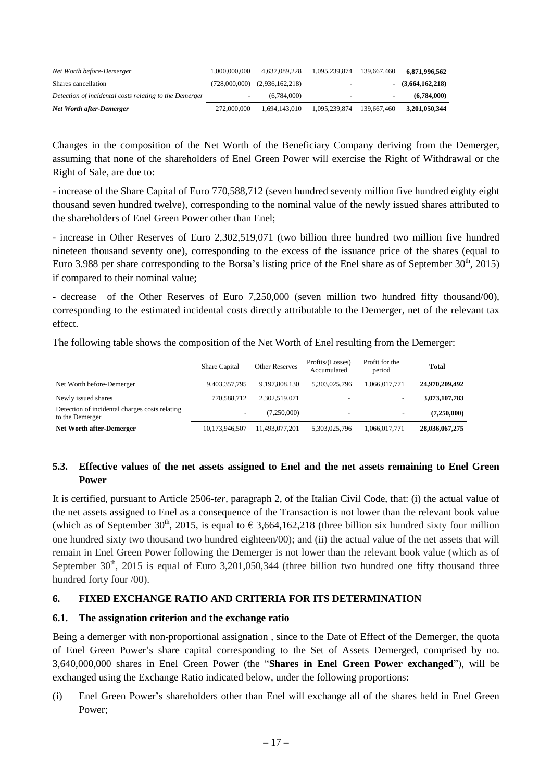| Net Worth before-Demerger                              | 1,000,000,000 | 4.637.089.228                     | 1.095.239.874            | 139,667,460 | 6.871.996.562       |
|--------------------------------------------------------|---------------|-----------------------------------|--------------------------|-------------|---------------------|
| Shares cancellation                                    |               | $(728,000,000)$ $(2,936,162,218)$ | ۰                        |             | $-$ (3,664,162,218) |
| Detection of incidental costs relating to the Demerger |               | (6.784.000)                       | $\overline{\phantom{0}}$ |             | (6.784.000)         |
| Net Worth after-Demerger                               | 272,000,000   | 1.694.143.010                     | 1.095.239.874            | 139,667,460 | 3.201.050.344       |

Changes in the composition of the Net Worth of the Beneficiary Company deriving from the Demerger, assuming that none of the shareholders of Enel Green Power will exercise the Right of Withdrawal or the Right of Sale, are due to:

- increase of the Share Capital of Euro 770,588,712 (seven hundred seventy million five hundred eighty eight thousand seven hundred twelve), corresponding to the nominal value of the newly issued shares attributed to the shareholders of Enel Green Power other than Enel;

- increase in Other Reserves of Euro 2,302,519,071 (two billion three hundred two million five hundred nineteen thousand seventy one), corresponding to the excess of the issuance price of the shares (equal to Euro 3.988 per share corresponding to the Borsa's listing price of the Enel share as of September  $30<sup>th</sup>$ , 2015) if compared to their nominal value;

- decrease of the Other Reserves of Euro 7,250,000 (seven million two hundred fifty thousand/00), corresponding to the estimated incidental costs directly attributable to the Demerger, net of the relevant tax effect.

The following table shows the composition of the Net Worth of Enel resulting from the Demerger:

|                                                                   | Share Capital            | <b>Other Reserves</b> | Profits/(Losses)<br>Accumulated | Profit for the<br>period | <b>Total</b>   |
|-------------------------------------------------------------------|--------------------------|-----------------------|---------------------------------|--------------------------|----------------|
| Net Worth before-Demerger                                         | 9,403,357,795            | 9.197.808.130         | 5,303,025,796                   | 1.066.017.771            | 24,970,209,492 |
| Newly issued shares                                               | 770.588.712              | 2,302,519,071         | $\overline{\phantom{0}}$        |                          | 3,073,107,783  |
| Detection of incidental charges costs relating<br>to the Demerger | $\overline{\phantom{a}}$ | (7.250.000)           | $\overline{\phantom{0}}$        | -                        | (7,250,000)    |
| Net Worth after-Demerger                                          | 10,173,946,507           | 11,493,077,201        | 5,303,025,796                   | 1,066,017,771            | 28,036,067,275 |

## <span id="page-16-0"></span>5.3. Effective values of the net assets assigned to Enel and the net assets remaining to Enel Green **Power**

It is certified, pursuant to Article 2506-*ter,* paragraph 2, of the Italian Civil Code, that: (i) the actual value of the net assets assigned to Enel as a consequence of the Transaction is not lower than the relevant book value (which as of September 30<sup>th</sup>, 2015, is equal to  $\epsilon$  3,664,162,218 (three billion six hundred sixty four million one hundred sixty two thousand two hundred eighteen/00); and (ii) the actual value of the net assets that will remain in Enel Green Power following the Demerger is not lower than the relevant book value (which as of September  $30<sup>th</sup>$ , 2015 is equal of Euro 3,201,050,344 (three billion two hundred one fifty thousand three hundred forty four /00).

### <span id="page-16-1"></span>**6. FIXED EXCHANGE RATIO AND CRITERIA FOR ITS DETERMINATION**

### <span id="page-16-2"></span>**6.1. The assignation criterion and the exchange ratio**

Being a demerger with non-proportional assignation , since to the Date of Effect of the Demerger, the quota of Enel Green Power's share capital corresponding to the Set of Assets Demerged, comprised by no. 3,640,000,000 shares in Enel Green Power (the "**Shares in Enel Green Power exchanged**"), will be exchanged using the Exchange Ratio indicated below, under the following proportions:

(i) Enel Green Power's shareholders other than Enel will exchange all of the shares held in Enel Green Power;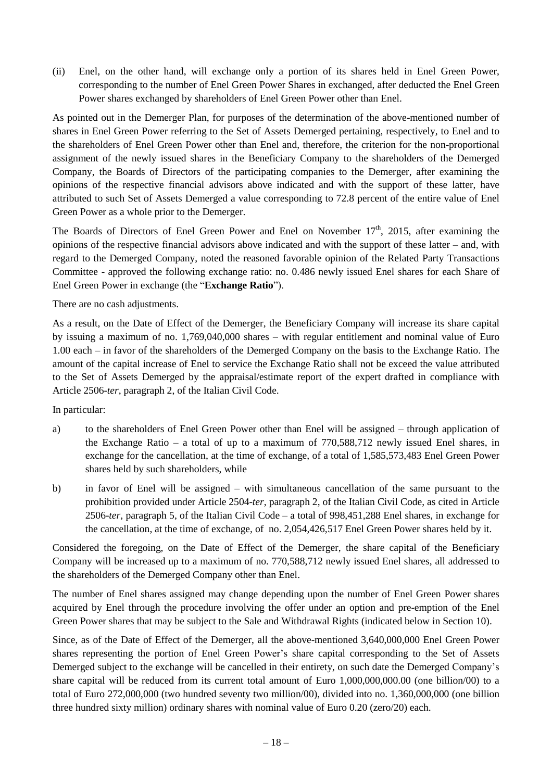(ii) Enel, on the other hand, will exchange only a portion of its shares held in Enel Green Power, corresponding to the number of Enel Green Power Shares in exchanged, after deducted the Enel Green Power shares exchanged by shareholders of Enel Green Power other than Enel.

As pointed out in the Demerger Plan, for purposes of the determination of the above-mentioned number of shares in Enel Green Power referring to the Set of Assets Demerged pertaining, respectively, to Enel and to the shareholders of Enel Green Power other than Enel and, therefore, the criterion for the non-proportional assignment of the newly issued shares in the Beneficiary Company to the shareholders of the Demerged Company, the Boards of Directors of the participating companies to the Demerger, after examining the opinions of the respective financial advisors above indicated and with the support of these latter, have attributed to such Set of Assets Demerged a value corresponding to 72.8 percent of the entire value of Enel Green Power as a whole prior to the Demerger.

The Boards of Directors of Enel Green Power and Enel on November 17<sup>th</sup>, 2015, after examining the opinions of the respective financial advisors above indicated and with the support of these latter – and, with regard to the Demerged Company, noted the reasoned favorable opinion of the Related Party Transactions Committee - approved the following exchange ratio: no. 0.486 newly issued Enel shares for each Share of Enel Green Power in exchange (the "**Exchange Ratio**").

There are no cash adjustments.

As a result, on the Date of Effect of the Demerger, the Beneficiary Company will increase its share capital by issuing a maximum of no. 1,769,040,000 shares – with regular entitlement and nominal value of Euro 1.00 each – in favor of the shareholders of the Demerged Company on the basis to the Exchange Ratio. The amount of the capital increase of Enel to service the Exchange Ratio shall not be exceed the value attributed to the Set of Assets Demerged by the appraisal/estimate report of the expert drafted in compliance with Article 2506-*ter*, paragraph 2, of the Italian Civil Code.

In particular:

- a) to the shareholders of Enel Green Power other than Enel will be assigned through application of the Exchange Ratio – a total of up to a maximum of 770,588,712 newly issued Enel shares, in exchange for the cancellation, at the time of exchange, of a total of 1,585,573,483 Enel Green Power shares held by such shareholders, while
- b) in favor of Enel will be assigned with simultaneous cancellation of the same pursuant to the prohibition provided under Article 2504-*ter*, paragraph 2, of the Italian Civil Code, as cited in Article 2506-*ter*, paragraph 5, of the Italian Civil Code – a total of 998,451,288 Enel shares, in exchange for the cancellation, at the time of exchange, of no. 2,054,426,517 Enel Green Power shares held by it.

Considered the foregoing, on the Date of Effect of the Demerger, the share capital of the Beneficiary Company will be increased up to a maximum of no. 770,588,712 newly issued Enel shares, all addressed to the shareholders of the Demerged Company other than Enel.

The number of Enel shares assigned may change depending upon the number of Enel Green Power shares acquired by Enel through the procedure involving the offer under an option and pre-emption of the Enel Green Power shares that may be subject to the Sale and Withdrawal Rights (indicated below in Section 10).

Since, as of the Date of Effect of the Demerger, all the above-mentioned 3,640,000,000 Enel Green Power shares representing the portion of Enel Green Power's share capital corresponding to the Set of Assets Demerged subject to the exchange will be cancelled in their entirety, on such date the Demerged Company's share capital will be reduced from its current total amount of Euro 1,000,000,000.00 (one billion/00) to a total of Euro 272,000,000 (two hundred seventy two million/00), divided into no. 1,360,000,000 (one billion three hundred sixty million) ordinary shares with nominal value of Euro 0.20 (zero/20) each.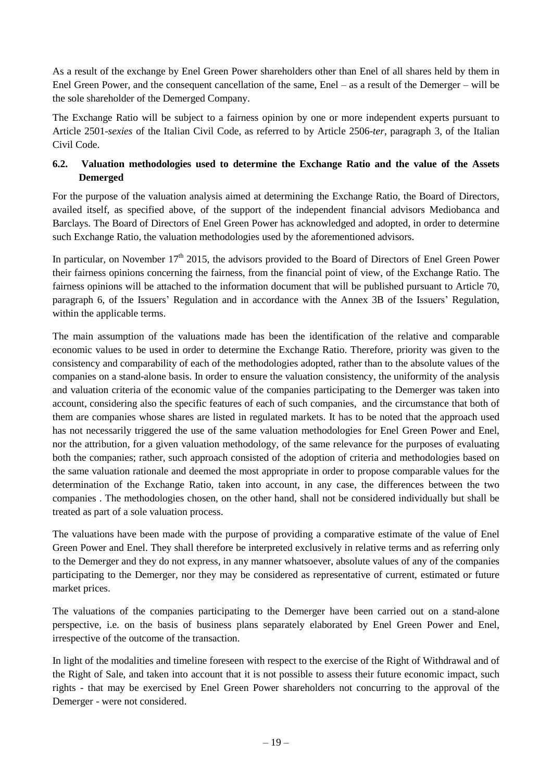As a result of the exchange by Enel Green Power shareholders other than Enel of all shares held by them in Enel Green Power, and the consequent cancellation of the same, Enel – as a result of the Demerger – will be the sole shareholder of the Demerged Company.

The Exchange Ratio will be subject to a fairness opinion by one or more independent experts pursuant to Article 2501-*sexies* of the Italian Civil Code, as referred to by Article 2506-*ter*, paragraph 3, of the Italian Civil Code.

# <span id="page-18-0"></span>**6.2. Valuation methodologies used to determine the Exchange Ratio and the value of the Assets Demerged**

For the purpose of the valuation analysis aimed at determining the Exchange Ratio, the Board of Directors, availed itself, as specified above, of the support of the independent financial advisors Mediobanca and Barclays. The Board of Directors of Enel Green Power has acknowledged and adopted, in order to determine such Exchange Ratio, the valuation methodologies used by the aforementioned advisors.

In particular, on November  $17<sup>th</sup>$  2015, the advisors provided to the Board of Directors of Enel Green Power their fairness opinions concerning the fairness, from the financial point of view, of the Exchange Ratio. The fairness opinions will be attached to the information document that will be published pursuant to Article 70, paragraph 6, of the Issuers' Regulation and in accordance with the Annex 3B of the Issuers' Regulation, within the applicable terms.

The main assumption of the valuations made has been the identification of the relative and comparable economic values to be used in order to determine the Exchange Ratio. Therefore, priority was given to the consistency and comparability of each of the methodologies adopted, rather than to the absolute values of the companies on a stand-alone basis. In order to ensure the valuation consistency, the uniformity of the analysis and valuation criteria of the economic value of the companies participating to the Demerger was taken into account, considering also the specific features of each of such companies, and the circumstance that both of them are companies whose shares are listed in regulated markets. It has to be noted that the approach used has not necessarily triggered the use of the same valuation methodologies for Enel Green Power and Enel, nor the attribution, for a given valuation methodology, of the same relevance for the purposes of evaluating both the companies; rather, such approach consisted of the adoption of criteria and methodologies based on the same valuation rationale and deemed the most appropriate in order to propose comparable values for the determination of the Exchange Ratio, taken into account, in any case, the differences between the two companies . The methodologies chosen, on the other hand, shall not be considered individually but shall be treated as part of a sole valuation process.

The valuations have been made with the purpose of providing a comparative estimate of the value of Enel Green Power and Enel. They shall therefore be interpreted exclusively in relative terms and as referring only to the Demerger and they do not express, in any manner whatsoever, absolute values of any of the companies participating to the Demerger, nor they may be considered as representative of current, estimated or future market prices.

The valuations of the companies participating to the Demerger have been carried out on a stand-alone perspective, i.e. on the basis of business plans separately elaborated by Enel Green Power and Enel, irrespective of the outcome of the transaction.

In light of the modalities and timeline foreseen with respect to the exercise of the Right of Withdrawal and of the Right of Sale, and taken into account that it is not possible to assess their future economic impact, such rights - that may be exercised by Enel Green Power shareholders not concurring to the approval of the Demerger - were not considered.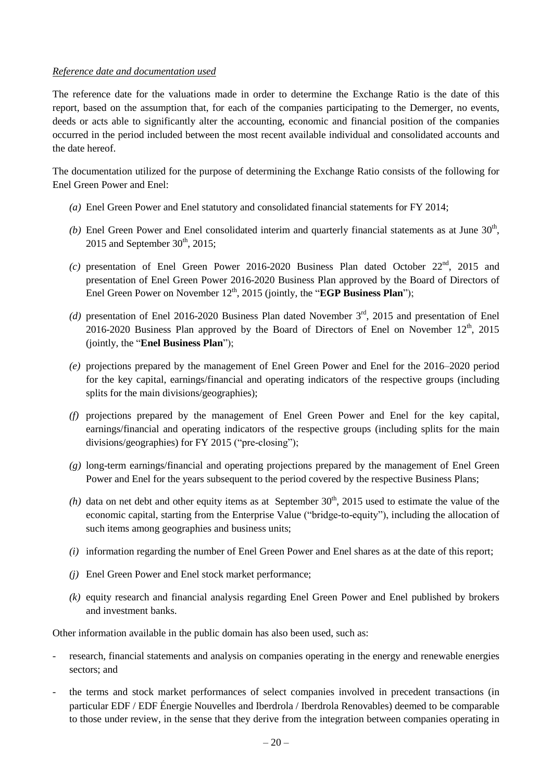#### *Reference date and documentation used*

The reference date for the valuations made in order to determine the Exchange Ratio is the date of this report, based on the assumption that, for each of the companies participating to the Demerger, no events, deeds or acts able to significantly alter the accounting, economic and financial position of the companies occurred in the period included between the most recent available individual and consolidated accounts and the date hereof.

The documentation utilized for the purpose of determining the Exchange Ratio consists of the following for Enel Green Power and Enel:

- *(a)* Enel Green Power and Enel statutory and consolidated financial statements for FY 2014;
- (b) Enel Green Power and Enel consolidated interim and quarterly financial statements as at June  $30<sup>th</sup>$ , 2015 and September  $30<sup>th</sup>$ , 2015;
- $(c)$  presentation of Enel Green Power 2016-2020 Business Plan dated October  $22<sup>nd</sup>$ , 2015 and presentation of Enel Green Power 2016-2020 Business Plan approved by the Board of Directors of Enel Green Power on November 12<sup>th</sup>, 2015 (jointly, the "**EGP Business Plan**");
- (d) presentation of Enel 2016-2020 Business Plan dated November 3<sup>rd</sup>, 2015 and presentation of Enel 2016-2020 Business Plan approved by the Board of Directors of Enel on November  $12^{th}$ , 2015 (jointly, the "**Enel Business Plan**");
- *(e)* projections prepared by the management of Enel Green Power and Enel for the 2016–2020 period for the key capital, earnings/financial and operating indicators of the respective groups (including splits for the main divisions/geographies);
- *(f)* projections prepared by the management of Enel Green Power and Enel for the key capital, earnings/financial and operating indicators of the respective groups (including splits for the main divisions/geographies) for FY 2015 ("pre-closing");
- *(g)* long-term earnings/financial and operating projections prepared by the management of Enel Green Power and Enel for the years subsequent to the period covered by the respective Business Plans;
- $(h)$  data on net debt and other equity items as at September 30<sup>th</sup>, 2015 used to estimate the value of the economic capital, starting from the Enterprise Value ("bridge-to-equity"), including the allocation of such items among geographies and business units;
- *(i)* information regarding the number of Enel Green Power and Enel shares as at the date of this report;
- *(j)* Enel Green Power and Enel stock market performance;
- *(k)* equity research and financial analysis regarding Enel Green Power and Enel published by brokers and investment banks.

Other information available in the public domain has also been used, such as:

- research, financial statements and analysis on companies operating in the energy and renewable energies sectors; and
- the terms and stock market performances of select companies involved in precedent transactions (in particular EDF / EDF Énergie Nouvelles and Iberdrola / Iberdrola Renovables) deemed to be comparable to those under review, in the sense that they derive from the integration between companies operating in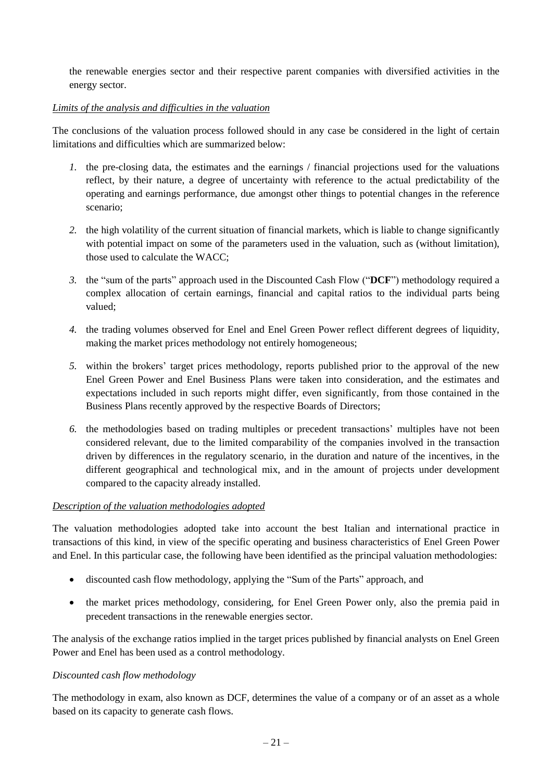the renewable energies sector and their respective parent companies with diversified activities in the energy sector.

## *Limits of the analysis and difficulties in the valuation*

The conclusions of the valuation process followed should in any case be considered in the light of certain limitations and difficulties which are summarized below:

- *1.* the pre-closing data, the estimates and the earnings / financial projections used for the valuations reflect, by their nature, a degree of uncertainty with reference to the actual predictability of the operating and earnings performance, due amongst other things to potential changes in the reference scenario;
- *2.* the high volatility of the current situation of financial markets, which is liable to change significantly with potential impact on some of the parameters used in the valuation, such as (without limitation), those used to calculate the WACC;
- *3.* the "sum of the parts" approach used in the Discounted Cash Flow ("**DCF**") methodology required a complex allocation of certain earnings, financial and capital ratios to the individual parts being valued;
- *4.* the trading volumes observed for Enel and Enel Green Power reflect different degrees of liquidity, making the market prices methodology not entirely homogeneous;
- *5.* within the brokers' target prices methodology, reports published prior to the approval of the new Enel Green Power and Enel Business Plans were taken into consideration, and the estimates and expectations included in such reports might differ, even significantly, from those contained in the Business Plans recently approved by the respective Boards of Directors;
- *6.* the methodologies based on trading multiples or precedent transactions' multiples have not been considered relevant, due to the limited comparability of the companies involved in the transaction driven by differences in the regulatory scenario, in the duration and nature of the incentives, in the different geographical and technological mix, and in the amount of projects under development compared to the capacity already installed.

### *Description of the valuation methodologies adopted*

The valuation methodologies adopted take into account the best Italian and international practice in transactions of this kind, in view of the specific operating and business characteristics of Enel Green Power and Enel. In this particular case, the following have been identified as the principal valuation methodologies:

- discounted cash flow methodology, applying the "Sum of the Parts" approach, and
- the market prices methodology, considering, for Enel Green Power only, also the premia paid in precedent transactions in the renewable energies sector.

The analysis of the exchange ratios implied in the target prices published by financial analysts on Enel Green Power and Enel has been used as a control methodology.

### *Discounted cash flow methodology*

The methodology in exam, also known as DCF, determines the value of a company or of an asset as a whole based on its capacity to generate cash flows.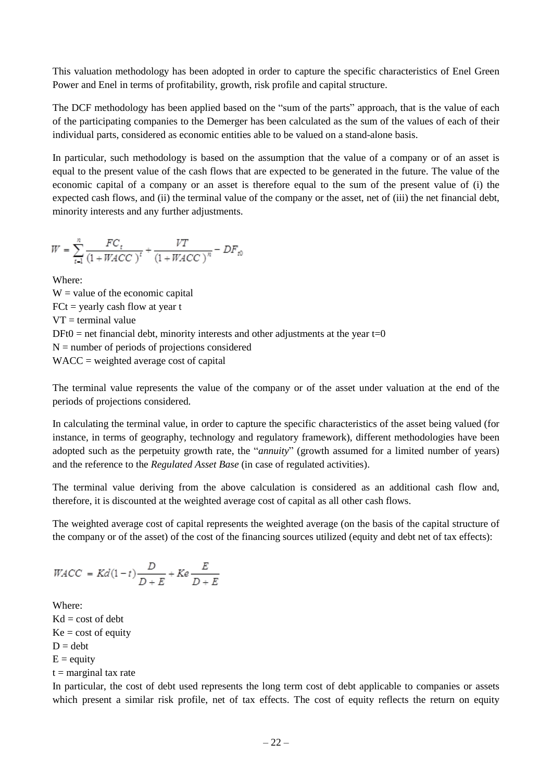This valuation methodology has been adopted in order to capture the specific characteristics of Enel Green Power and Enel in terms of profitability, growth, risk profile and capital structure.

The DCF methodology has been applied based on the "sum of the parts" approach, that is the value of each of the participating companies to the Demerger has been calculated as the sum of the values of each of their individual parts, considered as economic entities able to be valued on a stand-alone basis.

In particular, such methodology is based on the assumption that the value of a company or of an asset is equal to the present value of the cash flows that are expected to be generated in the future. The value of the economic capital of a company or an asset is therefore equal to the sum of the present value of (i) the expected cash flows, and (ii) the terminal value of the company or the asset, net of (iii) the net financial debt, minority interests and any further adjustments.

$$
W = \sum_{t=1}^{n} \frac{FC_t}{(1 + WACC)^t} + \frac{VT}{(1 + WACC)^n} - DF_{t0}
$$

Where:

 $W =$  value of the economic capital  $FCt = yearly cash flow at year t$  $VT = terminal value$  $DFt0 = net financial debt, minority interests and other adjustments at the year  $t=0$$  $N =$  number of periods of projections considered WACC = weighted average cost of capital

The terminal value represents the value of the company or of the asset under valuation at the end of the periods of projections considered.

In calculating the terminal value, in order to capture the specific characteristics of the asset being valued (for instance, in terms of geography, technology and regulatory framework), different methodologies have been adopted such as the perpetuity growth rate, the "*annuity*" (growth assumed for a limited number of years) and the reference to the *Regulated Asset Base* (in case of regulated activities).

The terminal value deriving from the above calculation is considered as an additional cash flow and, therefore, it is discounted at the weighted average cost of capital as all other cash flows.

The weighted average cost of capital represents the weighted average (on the basis of the capital structure of the company or of the asset) of the cost of the financing sources utilized (equity and debt net of tax effects):

$$
WACC\,=\,Kd(1-t)\frac{D}{D+E}+Ke\frac{E}{D+E}
$$

Where:  $Kd = \text{cost of debt}$  $Ke = \text{cost of equity}$  $D =$ debt  $E =$  equity  $t =$  marginal tax rate

In particular, the cost of debt used represents the long term cost of debt applicable to companies or assets which present a similar risk profile, net of tax effects. The cost of equity reflects the return on equity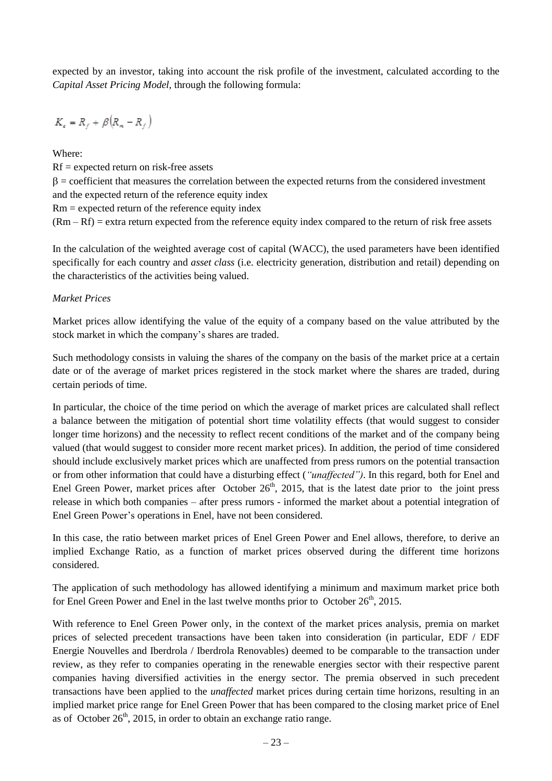expected by an investor, taking into account the risk profile of the investment, calculated according to the *Capital Asset Pricing Model,* through the following formula:

$$
K_{\epsilon} = R_f + \beta (R_m - R_f)
$$

Where:

Rf = expected return on risk-free assets  $\beta$  = coefficient that measures the correlation between the expected returns from the considered investment and the expected return of the reference equity index Rm = expected return of the reference equity index  $(Rm - Rf)$  = extra return expected from the reference equity index compared to the return of risk free assets

In the calculation of the weighted average cost of capital (WACC), the used parameters have been identified specifically for each country and *asset class* (i.e. electricity generation, distribution and retail) depending on the characteristics of the activities being valued.

## *Market Prices*

Market prices allow identifying the value of the equity of a company based on the value attributed by the stock market in which the company's shares are traded.

Such methodology consists in valuing the shares of the company on the basis of the market price at a certain date or of the average of market prices registered in the stock market where the shares are traded, during certain periods of time.

In particular, the choice of the time period on which the average of market prices are calculated shall reflect a balance between the mitigation of potential short time volatility effects (that would suggest to consider longer time horizons) and the necessity to reflect recent conditions of the market and of the company being valued (that would suggest to consider more recent market prices). In addition, the period of time considered should include exclusively market prices which are unaffected from press rumors on the potential transaction or from other information that could have a disturbing effect (*"unaffected")*. In this regard, both for Enel and Enel Green Power, market prices after October  $26<sup>th</sup>$ , 2015, that is the latest date prior to the joint press release in which both companies – after press rumors - informed the market about a potential integration of Enel Green Power's operations in Enel, have not been considered.

In this case, the ratio between market prices of Enel Green Power and Enel allows, therefore, to derive an implied Exchange Ratio, as a function of market prices observed during the different time horizons considered.

The application of such methodology has allowed identifying a minimum and maximum market price both for Enel Green Power and Enel in the last twelve months prior to October  $26<sup>th</sup>$ , 2015.

With reference to Enel Green Power only, in the context of the market prices analysis, premia on market prices of selected precedent transactions have been taken into consideration (in particular, EDF / EDF Energie Nouvelles and Iberdrola / Iberdrola Renovables) deemed to be comparable to the transaction under review, as they refer to companies operating in the renewable energies sector with their respective parent companies having diversified activities in the energy sector. The premia observed in such precedent transactions have been applied to the *unaffected* market prices during certain time horizons, resulting in an implied market price range for Enel Green Power that has been compared to the closing market price of Enel as of October  $26<sup>th</sup>$ , 2015, in order to obtain an exchange ratio range.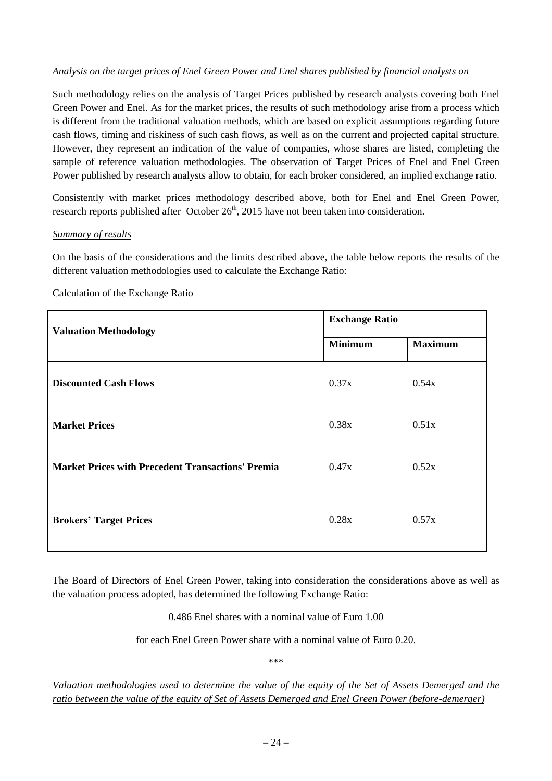#### *Analysis on the target prices of Enel Green Power and Enel shares published by financial analysts on*

Such methodology relies on the analysis of Target Prices published by research analysts covering both Enel Green Power and Enel. As for the market prices, the results of such methodology arise from a process which is different from the traditional valuation methods, which are based on explicit assumptions regarding future cash flows, timing and riskiness of such cash flows, as well as on the current and projected capital structure. However, they represent an indication of the value of companies, whose shares are listed, completing the sample of reference valuation methodologies. The observation of Target Prices of Enel and Enel Green Power published by research analysts allow to obtain, for each broker considered, an implied exchange ratio.

Consistently with market prices methodology described above, both for Enel and Enel Green Power, research reports published after October  $26<sup>th</sup>$ , 2015 have not been taken into consideration.

#### *Summary of results*

On the basis of the considerations and the limits described above, the table below reports the results of the different valuation methodologies used to calculate the Exchange Ratio:

#### Calculation of the Exchange Ratio

| <b>Valuation Methodology</b>                             | <b>Exchange Ratio</b> |                |  |
|----------------------------------------------------------|-----------------------|----------------|--|
|                                                          | <b>Minimum</b>        | <b>Maximum</b> |  |
| <b>Discounted Cash Flows</b>                             | 0.37x                 | 0.54x          |  |
| <b>Market Prices</b>                                     | 0.38x                 | 0.51x          |  |
| <b>Market Prices with Precedent Transactions' Premia</b> | 0.47x                 | 0.52x          |  |
| <b>Brokers' Target Prices</b>                            | 0.28x                 | 0.57x          |  |

The Board of Directors of Enel Green Power, taking into consideration the considerations above as well as the valuation process adopted, has determined the following Exchange Ratio:

0.486 Enel shares with a nominal value of Euro 1.00

for each Enel Green Power share with a nominal value of Euro 0.20.

\*\*\*

Valuation methodologies used to determine the value of the equity of the Set of Assets Demerged and the *ratio between the value of the equity of Set of Assets Demerged and Enel Green Power (before-demerger)*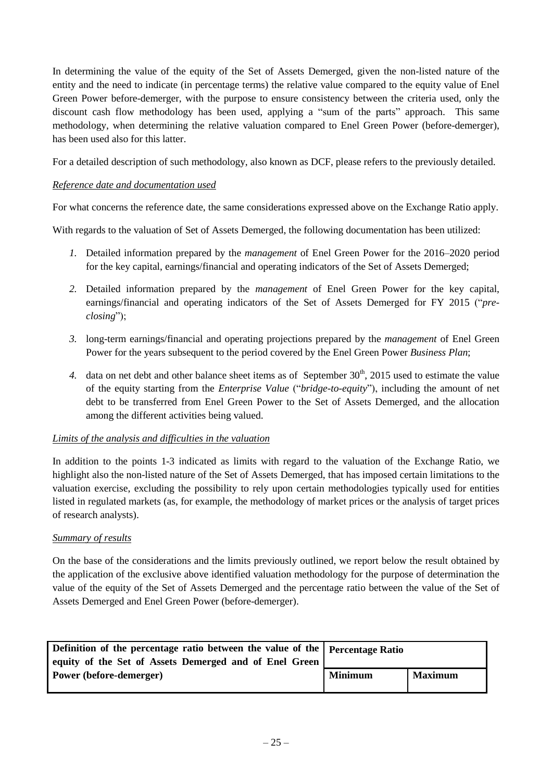In determining the value of the equity of the Set of Assets Demerged, given the non-listed nature of the entity and the need to indicate (in percentage terms) the relative value compared to the equity value of Enel Green Power before-demerger, with the purpose to ensure consistency between the criteria used, only the discount cash flow methodology has been used, applying a "sum of the parts" approach. This same methodology, when determining the relative valuation compared to Enel Green Power (before-demerger), has been used also for this latter.

For a detailed description of such methodology, also known as DCF, please refers to the previously detailed.

### *Reference date and documentation used*

For what concerns the reference date, the same considerations expressed above on the Exchange Ratio apply.

With regards to the valuation of Set of Assets Demerged, the following documentation has been utilized:

- *1.* Detailed information prepared by the *management* of Enel Green Power for the 2016–2020 period for the key capital, earnings/financial and operating indicators of the Set of Assets Demerged;
- *2.* Detailed information prepared by the *management* of Enel Green Power for the key capital, earnings/financial and operating indicators of the Set of Assets Demerged for FY 2015 ("*preclosing*");
- *3.* long-term earnings/financial and operating projections prepared by the *management* of Enel Green Power for the years subsequent to the period covered by the Enel Green Power *Business Plan*;
- 4. data on net debt and other balance sheet items as of September 30<sup>th</sup>, 2015 used to estimate the value of the equity starting from the *Enterprise Value* ("*bridge-to-equity*"), including the amount of net debt to be transferred from Enel Green Power to the Set of Assets Demerged, and the allocation among the different activities being valued.

### *Limits of the analysis and difficulties in the valuation*

In addition to the points 1-3 indicated as limits with regard to the valuation of the Exchange Ratio, we highlight also the non-listed nature of the Set of Assets Demerged, that has imposed certain limitations to the valuation exercise, excluding the possibility to rely upon certain methodologies typically used for entities listed in regulated markets (as, for example, the methodology of market prices or the analysis of target prices of research analysts).

### *Summary of results*

On the base of the considerations and the limits previously outlined, we report below the result obtained by the application of the exclusive above identified valuation methodology for the purpose of determination the value of the equity of the Set of Assets Demerged and the percentage ratio between the value of the Set of Assets Demerged and Enel Green Power (before-demerger).

| Definition of the percentage ratio between the value of the Percentage Ratio |                |                |
|------------------------------------------------------------------------------|----------------|----------------|
| equity of the Set of Assets Demerged and of Enel Green                       |                |                |
| Power (before-demerger)                                                      | <b>Minimum</b> | <b>Maximum</b> |
|                                                                              |                |                |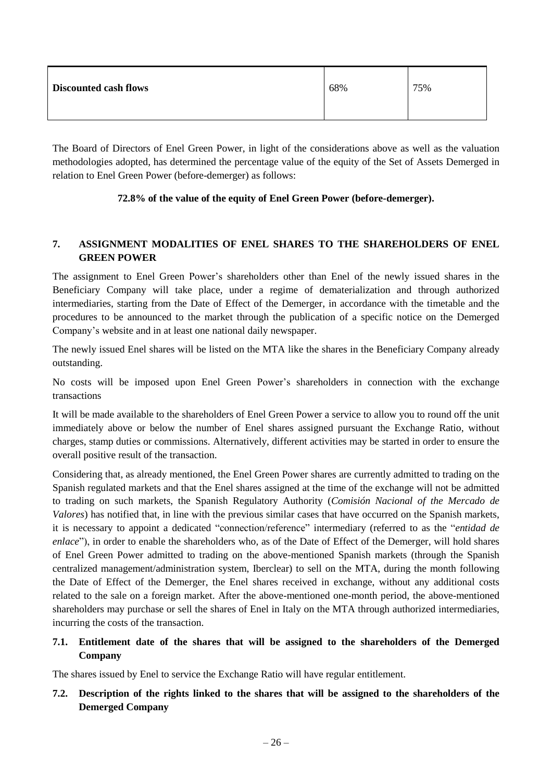| <b>Discounted cash flows</b> | 68% | 75% |
|------------------------------|-----|-----|
|------------------------------|-----|-----|

The Board of Directors of Enel Green Power, in light of the considerations above as well as the valuation methodologies adopted, has determined the percentage value of the equity of the Set of Assets Demerged in relation to Enel Green Power (before-demerger) as follows:

# **72.8% of the value of the equity of Enel Green Power (before-demerger).**

## <span id="page-25-0"></span>**7. ASSIGNMENT MODALITIES OF ENEL SHARES TO THE SHAREHOLDERS OF ENEL GREEN POWER**

The assignment to Enel Green Power's shareholders other than Enel of the newly issued shares in the Beneficiary Company will take place, under a regime of dematerialization and through authorized intermediaries, starting from the Date of Effect of the Demerger, in accordance with the timetable and the procedures to be announced to the market through the publication of a specific notice on the Demerged Company's website and in at least one national daily newspaper.

The newly issued Enel shares will be listed on the MTA like the shares in the Beneficiary Company already outstanding.

No costs will be imposed upon Enel Green Power's shareholders in connection with the exchange transactions

It will be made available to the shareholders of Enel Green Power a service to allow you to round off the unit immediately above or below the number of Enel shares assigned pursuant the Exchange Ratio, without charges, stamp duties or commissions. Alternatively, different activities may be started in order to ensure the overall positive result of the transaction.

Considering that, as already mentioned, the Enel Green Power shares are currently admitted to trading on the Spanish regulated markets and that the Enel shares assigned at the time of the exchange will not be admitted to trading on such markets, the Spanish Regulatory Authority (*Comisión Nacional of the Mercado de Valores*) has notified that, in line with the previous similar cases that have occurred on the Spanish markets, it is necessary to appoint a dedicated "connection/reference" intermediary (referred to as the "*entidad de enlace*"), in order to enable the shareholders who, as of the Date of Effect of the Demerger, will hold shares of Enel Green Power admitted to trading on the above-mentioned Spanish markets (through the Spanish centralized management/administration system, Iberclear) to sell on the MTA, during the month following the Date of Effect of the Demerger, the Enel shares received in exchange, without any additional costs related to the sale on a foreign market. After the above-mentioned one-month period, the above-mentioned shareholders may purchase or sell the shares of Enel in Italy on the MTA through authorized intermediaries, incurring the costs of the transaction.

## <span id="page-25-1"></span>**7.1. Entitlement date of the shares that will be assigned to the shareholders of the Demerged Company**

The shares issued by Enel to service the Exchange Ratio will have regular entitlement.

# <span id="page-25-2"></span>7.2. Description of the rights linked to the shares that will be assigned to the shareholders of the **Demerged Company**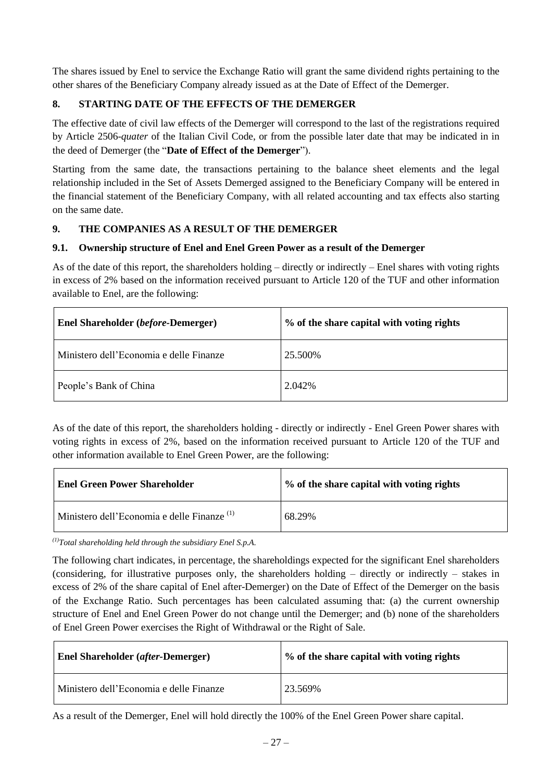The shares issued by Enel to service the Exchange Ratio will grant the same dividend rights pertaining to the other shares of the Beneficiary Company already issued as at the Date of Effect of the Demerger.

# <span id="page-26-0"></span>**8. STARTING DATE OF THE EFFECTS OF THE DEMERGER**

The effective date of civil law effects of the Demerger will correspond to the last of the registrations required by Article 2506-*quater* of the Italian Civil Code, or from the possible later date that may be indicated in in the deed of Demerger (the "**Date of Effect of the Demerger**").

Starting from the same date, the transactions pertaining to the balance sheet elements and the legal relationship included in the Set of Assets Demerged assigned to the Beneficiary Company will be entered in the financial statement of the Beneficiary Company, with all related accounting and tax effects also starting on the same date.

## <span id="page-26-1"></span>**9. THE COMPANIES AS A RESULT OF THE DEMERGER**

## <span id="page-26-2"></span>**9.1. Ownership structure of Enel and Enel Green Power as a result of the Demerger**

As of the date of this report, the shareholders holding – directly or indirectly – Enel shares with voting rights in excess of 2% based on the information received pursuant to Article 120 of the TUF and other information available to Enel, are the following:

| <b>Enel Shareholder (before-Demerger)</b> | % of the share capital with voting rights |
|-------------------------------------------|-------------------------------------------|
| Ministero dell'Economia e delle Finanze   | 25.500\%                                  |
| People's Bank of China                    | 2.042\%                                   |

As of the date of this report, the shareholders holding - directly or indirectly - Enel Green Power shares with voting rights in excess of 2%, based on the information received pursuant to Article 120 of the TUF and other information available to Enel Green Power, are the following:

| <b>Enel Green Power Shareholder</b>                    | % of the share capital with voting rights |
|--------------------------------------------------------|-------------------------------------------|
| Ministero dell'Economia e delle Finanze <sup>(1)</sup> | 68.29%                                    |

*(1)Total shareholding held through the subsidiary Enel S.p.A.*

The following chart indicates, in percentage, the shareholdings expected for the significant Enel shareholders (considering, for illustrative purposes only, the shareholders holding – directly or indirectly – stakes in excess of 2% of the share capital of Enel after-Demerger) on the Date of Effect of the Demerger on the basis of the Exchange Ratio. Such percentages has been calculated assuming that: (a) the current ownership structure of Enel and Enel Green Power do not change until the Demerger; and (b) none of the shareholders of Enel Green Power exercises the Right of Withdrawal or the Right of Sale.

| <b>Enel Shareholder (after-Demerger)</b> | % of the share capital with voting rights |
|------------------------------------------|-------------------------------------------|
| Ministero dell'Economia e delle Finanze  | 23.569%                                   |

As a result of the Demerger, Enel will hold directly the 100% of the Enel Green Power share capital.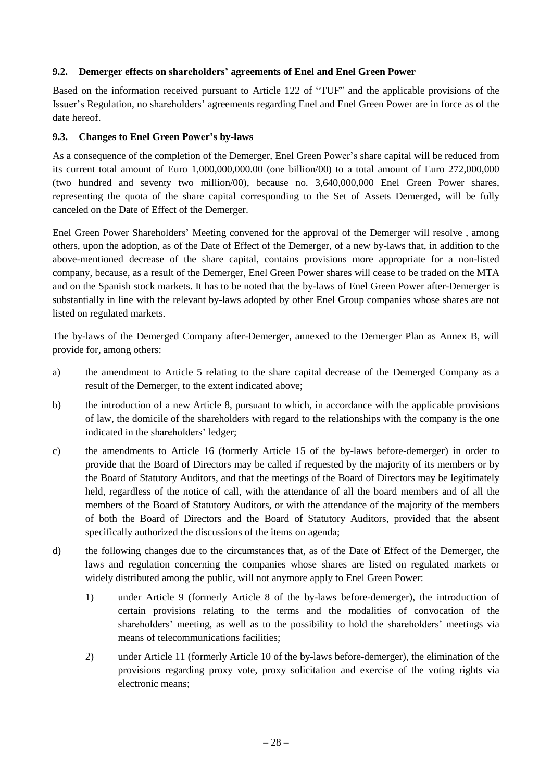### <span id="page-27-0"></span>**9.2. Demerger effects on shareholders' agreements of Enel and Enel Green Power**

Based on the information received pursuant to Article 122 of "TUF" and the applicable provisions of the Issuer's Regulation, no shareholders' agreements regarding Enel and Enel Green Power are in force as of the date hereof.

## <span id="page-27-1"></span>**9.3. Changes to Enel Green Power's by-laws**

As a consequence of the completion of the Demerger, Enel Green Power's share capital will be reduced from its current total amount of Euro 1,000,000,000.00 (one billion/00) to a total amount of Euro 272,000,000 (two hundred and seventy two million/00), because no. 3,640,000,000 Enel Green Power shares, representing the quota of the share capital corresponding to the Set of Assets Demerged, will be fully canceled on the Date of Effect of the Demerger.

Enel Green Power Shareholders' Meeting convened for the approval of the Demerger will resolve , among others, upon the adoption, as of the Date of Effect of the Demerger, of a new by-laws that, in addition to the above-mentioned decrease of the share capital, contains provisions more appropriate for a non-listed company, because, as a result of the Demerger, Enel Green Power shares will cease to be traded on the MTA and on the Spanish stock markets. It has to be noted that the by-laws of Enel Green Power after-Demerger is substantially in line with the relevant by-laws adopted by other Enel Group companies whose shares are not listed on regulated markets.

The by-laws of the Demerged Company after-Demerger, annexed to the Demerger Plan as Annex B, will provide for, among others:

- a) the amendment to Article 5 relating to the share capital decrease of the Demerged Company as a result of the Demerger, to the extent indicated above;
- b) the introduction of a new Article 8, pursuant to which, in accordance with the applicable provisions of law, the domicile of the shareholders with regard to the relationships with the company is the one indicated in the shareholders' ledger;
- c) the amendments to Article 16 (formerly Article 15 of the by-laws before-demerger) in order to provide that the Board of Directors may be called if requested by the majority of its members or by the Board of Statutory Auditors, and that the meetings of the Board of Directors may be legitimately held, regardless of the notice of call, with the attendance of all the board members and of all the members of the Board of Statutory Auditors, or with the attendance of the majority of the members of both the Board of Directors and the Board of Statutory Auditors, provided that the absent specifically authorized the discussions of the items on agenda;
- d) the following changes due to the circumstances that, as of the Date of Effect of the Demerger, the laws and regulation concerning the companies whose shares are listed on regulated markets or widely distributed among the public, will not anymore apply to Enel Green Power:
	- 1) under Article 9 (formerly Article 8 of the by-laws before-demerger), the introduction of certain provisions relating to the terms and the modalities of convocation of the shareholders' meeting, as well as to the possibility to hold the shareholders' meetings via means of telecommunications facilities;
	- 2) under Article 11 (formerly Article 10 of the by-laws before-demerger), the elimination of the provisions regarding proxy vote, proxy solicitation and exercise of the voting rights via electronic means;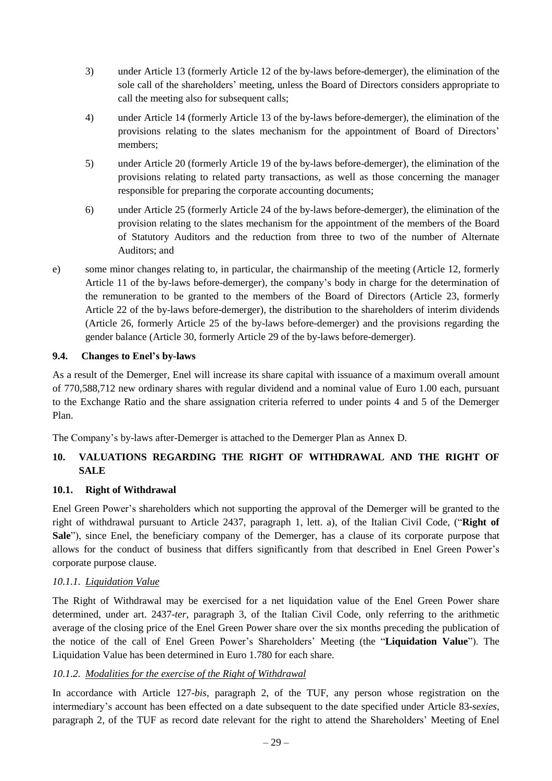- 3) under Article 13 (formerly Article 12 of the by-laws before-demerger), the elimination of the sole call of the shareholders' meeting, unless the Board of Directors considers appropriate to call the meeting also for subsequent calls;
- 4) under Article 14 (formerly Article 13 of the by-laws before-demerger), the elimination of the provisions relating to the slates mechanism for the appointment of Board of Directors' members;
- 5) under Article 20 (formerly Article 19 of the by-laws before-demerger), the elimination of the provisions relating to related party transactions, as well as those concerning the manager responsible for preparing the corporate accounting documents;
- 6) under Article 25 (formerly Article 24 of the by-laws before-demerger), the elimination of the provision relating to the slates mechanism for the appointment of the members of the Board of Statutory Auditors and the reduction from three to two of the number of Alternate Auditors; and
- e) some minor changes relating to, in particular, the chairmanship of the meeting (Article 12, formerly Article 11 of the by-laws before-demerger), the company's body in charge for the determination of the remuneration to be granted to the members of the Board of Directors (Article 23, formerly Article 22 of the by-laws before-demerger), the distribution to the shareholders of interim dividends (Article 26, formerly Article 25 of the by-laws before-demerger) and the provisions regarding the gender balance (Article 30, formerly Article 29 of the by-laws before-demerger).

## <span id="page-28-0"></span>**9.4. Changes to Enel's by-laws**

As a result of the Demerger, Enel will increase its share capital with issuance of a maximum overall amount of 770,588,712 new ordinary shares with regular dividend and a nominal value of Euro 1.00 each, pursuant to the Exchange Ratio and the share assignation criteria referred to under points 4 and 5 of the Demerger Plan.

The Company's by-laws after-Demerger is attached to the Demerger Plan as Annex D.

# <span id="page-28-1"></span>**10. VALUATIONS REGARDING THE RIGHT OF WITHDRAWAL AND THE RIGHT OF SALE**

### <span id="page-28-2"></span>**10.1. Right of Withdrawal**

Enel Green Power's shareholders which not supporting the approval of the Demerger will be granted to the right of withdrawal pursuant to Article 2437, paragraph 1, lett. a), of the Italian Civil Code, ("**Right of Sale**"), since Enel, the beneficiary company of the Demerger, has a clause of its corporate purpose that allows for the conduct of business that differs significantly from that described in Enel Green Power's corporate purpose clause.

### <span id="page-28-3"></span>*10.1.1. Liquidation Value*

The Right of Withdrawal may be exercised for a net liquidation value of the Enel Green Power share determined, under art. 2437-*ter*, paragraph 3, of the Italian Civil Code, only referring to the arithmetic average of the closing price of the Enel Green Power share over the six months preceding the publication of the notice of the call of Enel Green Power's Shareholders' Meeting (the "**Liquidation Value**"). The Liquidation Value has been determined in Euro 1.780 for each share.

### <span id="page-28-4"></span>*10.1.2. Modalities for the exercise of the Right of Withdrawal*

In accordance with Article 127-*bis*, paragraph 2, of the TUF, any person whose registration on the intermediary's account has been effected on a date subsequent to the date specified under Article 83-*sexies*, paragraph 2, of the TUF as record date relevant for the right to attend the Shareholders' Meeting of Enel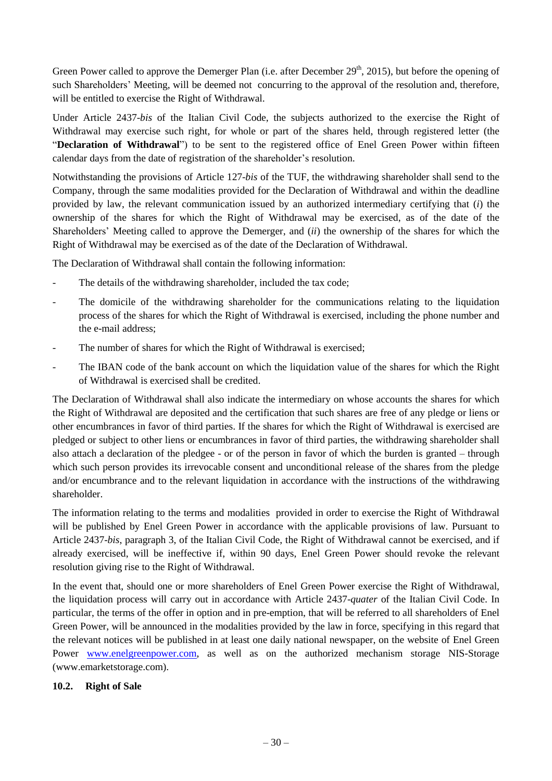Green Power called to approve the Demerger Plan (i.e. after December 29<sup>th</sup>, 2015), but before the opening of such Shareholders' Meeting, will be deemed not concurring to the approval of the resolution and, therefore, will be entitled to exercise the Right of Withdrawal.

Under Article 2437-*bis* of the Italian Civil Code, the subjects authorized to the exercise the Right of Withdrawal may exercise such right, for whole or part of the shares held, through registered letter (the "**Declaration of Withdrawal**") to be sent to the registered office of Enel Green Power within fifteen calendar days from the date of registration of the shareholder's resolution.

Notwithstanding the provisions of Article 127-*bis* of the TUF, the withdrawing shareholder shall send to the Company, through the same modalities provided for the Declaration of Withdrawal and within the deadline provided by law, the relevant communication issued by an authorized intermediary certifying that (*i*) the ownership of the shares for which the Right of Withdrawal may be exercised, as of the date of the Shareholders' Meeting called to approve the Demerger, and (*ii*) the ownership of the shares for which the Right of Withdrawal may be exercised as of the date of the Declaration of Withdrawal.

The Declaration of Withdrawal shall contain the following information:

- The details of the withdrawing shareholder, included the tax code;
- The domicile of the withdrawing shareholder for the communications relating to the liquidation process of the shares for which the Right of Withdrawal is exercised, including the phone number and the e-mail address;
- The number of shares for which the Right of Withdrawal is exercised;
- The IBAN code of the bank account on which the liquidation value of the shares for which the Right of Withdrawal is exercised shall be credited.

The Declaration of Withdrawal shall also indicate the intermediary on whose accounts the shares for which the Right of Withdrawal are deposited and the certification that such shares are free of any pledge or liens or other encumbrances in favor of third parties. If the shares for which the Right of Withdrawal is exercised are pledged or subject to other liens or encumbrances in favor of third parties, the withdrawing shareholder shall also attach a declaration of the pledgee - or of the person in favor of which the burden is granted – through which such person provides its irrevocable consent and unconditional release of the shares from the pledge and/or encumbrance and to the relevant liquidation in accordance with the instructions of the withdrawing shareholder.

The information relating to the terms and modalities provided in order to exercise the Right of Withdrawal will be published by Enel Green Power in accordance with the applicable provisions of law. Pursuant to Article 2437-*bis*, paragraph 3, of the Italian Civil Code, the Right of Withdrawal cannot be exercised, and if already exercised, will be ineffective if, within 90 days, Enel Green Power should revoke the relevant resolution giving rise to the Right of Withdrawal.

In the event that, should one or more shareholders of Enel Green Power exercise the Right of Withdrawal, the liquidation process will carry out in accordance with Article 2437-*quater* of the Italian Civil Code. In particular, the terms of the offer in option and in pre-emption, that will be referred to all shareholders of Enel Green Power, will be announced in the modalities provided by the law in force, specifying in this regard that the relevant notices will be published in at least one daily national newspaper, on the website of Enel Green Power [www.enelgreenpower.com,](http://www.enelgreenpower.com/) as well as on the authorized mechanism storage NIS-Storage (www.emarketstorage.com).

# <span id="page-29-0"></span>**10.2. Right of Sale**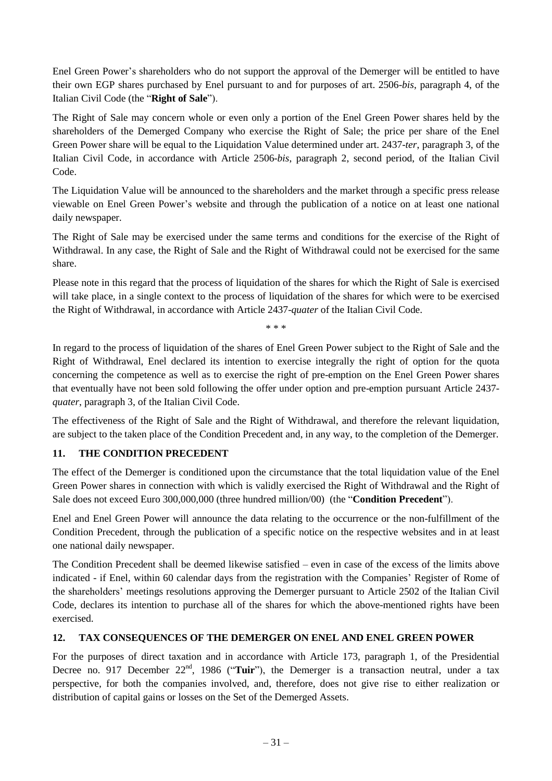Enel Green Power's shareholders who do not support the approval of the Demerger will be entitled to have their own EGP shares purchased by Enel pursuant to and for purposes of art. 2506-*bis*, paragraph 4, of the Italian Civil Code (the "**Right of Sale**").

The Right of Sale may concern whole or even only a portion of the Enel Green Power shares held by the shareholders of the Demerged Company who exercise the Right of Sale; the price per share of the Enel Green Power share will be equal to the Liquidation Value determined under art. 2437-*ter*, paragraph 3, of the Italian Civil Code, in accordance with Article 2506-*bis*, paragraph 2, second period, of the Italian Civil Code.

The Liquidation Value will be announced to the shareholders and the market through a specific press release viewable on Enel Green Power's website and through the publication of a notice on at least one national daily newspaper.

The Right of Sale may be exercised under the same terms and conditions for the exercise of the Right of Withdrawal. In any case, the Right of Sale and the Right of Withdrawal could not be exercised for the same share.

Please note in this regard that the process of liquidation of the shares for which the Right of Sale is exercised will take place, in a single context to the process of liquidation of the shares for which were to be exercised the Right of Withdrawal, in accordance with Article 2437-*quater* of the Italian Civil Code.

\* \* \*

In regard to the process of liquidation of the shares of Enel Green Power subject to the Right of Sale and the Right of Withdrawal, Enel declared its intention to exercise integrally the right of option for the quota concerning the competence as well as to exercise the right of pre-emption on the Enel Green Power shares that eventually have not been sold following the offer under option and pre-emption pursuant Article 2437 *quater*, paragraph 3, of the Italian Civil Code.

The effectiveness of the Right of Sale and the Right of Withdrawal, and therefore the relevant liquidation, are subject to the taken place of the Condition Precedent and, in any way, to the completion of the Demerger.

# <span id="page-30-0"></span>**11. THE CONDITION PRECEDENT**

The effect of the Demerger is conditioned upon the circumstance that the total liquidation value of the Enel Green Power shares in connection with which is validly exercised the Right of Withdrawal and the Right of Sale does not exceed Euro 300,000,000 (three hundred million/00) (the "**Condition Precedent**").

Enel and Enel Green Power will announce the data relating to the occurrence or the non-fulfillment of the Condition Precedent, through the publication of a specific notice on the respective websites and in at least one national daily newspaper.

The Condition Precedent shall be deemed likewise satisfied – even in case of the excess of the limits above indicated - if Enel, within 60 calendar days from the registration with the Companies' Register of Rome of the shareholders' meetings resolutions approving the Demerger pursuant to Article 2502 of the Italian Civil Code, declares its intention to purchase all of the shares for which the above-mentioned rights have been exercised.

# <span id="page-30-1"></span>**12. TAX CONSEQUENCES OF THE DEMERGER ON ENEL AND ENEL GREEN POWER**

For the purposes of direct taxation and in accordance with Article 173, paragraph 1, of the Presidential Decree no. 917 December 22<sup>nd</sup>, 1986 ("**Tuir**"), the Demerger is a transaction neutral, under a tax perspective, for both the companies involved, and, therefore, does not give rise to either realization or distribution of capital gains or losses on the Set of the Demerged Assets.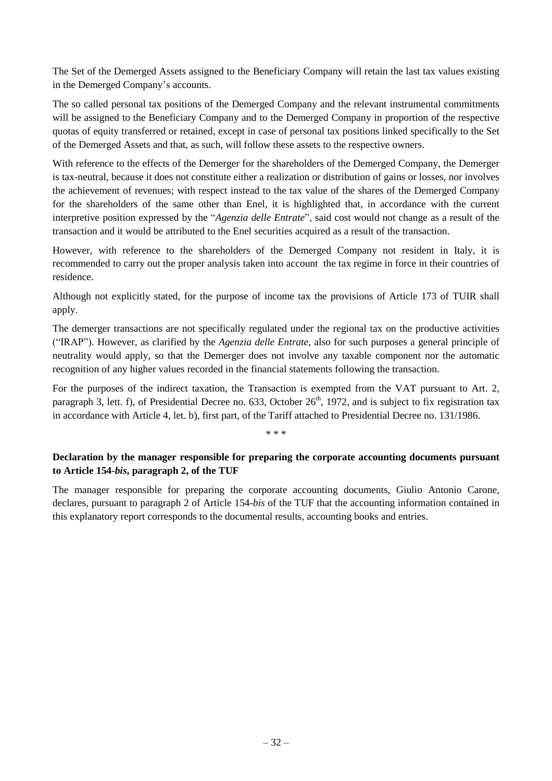The Set of the Demerged Assets assigned to the Beneficiary Company will retain the last tax values existing in the Demerged Company's accounts.

The so called personal tax positions of the Demerged Company and the relevant instrumental commitments will be assigned to the Beneficiary Company and to the Demerged Company in proportion of the respective quotas of equity transferred or retained, except in case of personal tax positions linked specifically to the Set of the Demerged Assets and that, as such, will follow these assets to the respective owners.

With reference to the effects of the Demerger for the shareholders of the Demerged Company, the Demerger is tax-neutral, because it does not constitute either a realization or distribution of gains or losses, nor involves the achievement of revenues; with respect instead to the tax value of the shares of the Demerged Company for the shareholders of the same other than Enel, it is highlighted that, in accordance with the current interpretive position expressed by the "*Agenzia delle Entrate*", said cost would not change as a result of the transaction and it would be attributed to the Enel securities acquired as a result of the transaction.

However, with reference to the shareholders of the Demerged Company not resident in Italy, it is recommended to carry out the proper analysis taken into account the tax regime in force in their countries of residence.

Although not explicitly stated, for the purpose of income tax the provisions of Article 173 of TUIR shall apply.

The demerger transactions are not specifically regulated under the regional tax on the productive activities ("IRAP"). However, as clarified by the *Agenzia delle Entrate*, also for such purposes a general principle of neutrality would apply, so that the Demerger does not involve any taxable component nor the automatic recognition of any higher values recorded in the financial statements following the transaction.

For the purposes of the indirect taxation, the Transaction is exempted from the VAT pursuant to Art. 2, paragraph 3, lett. f), of Presidential Decree no. 633, October 26<sup>th</sup>, 1972, and is subject to fix registration tax in accordance with Article 4, let. b), first part, of the Tariff attached to Presidential Decree no. 131/1986.

\* \* \*

# **Declaration by the manager responsible for preparing the corporate accounting documents pursuant to Article 154-***bis***, paragraph 2, of the TUF**

The manager responsible for preparing the corporate accounting documents, Giulio Antonio Carone, declares, pursuant to paragraph 2 of Article 154-*bis* of the TUF that the accounting information contained in this explanatory report corresponds to the documental results, accounting books and entries.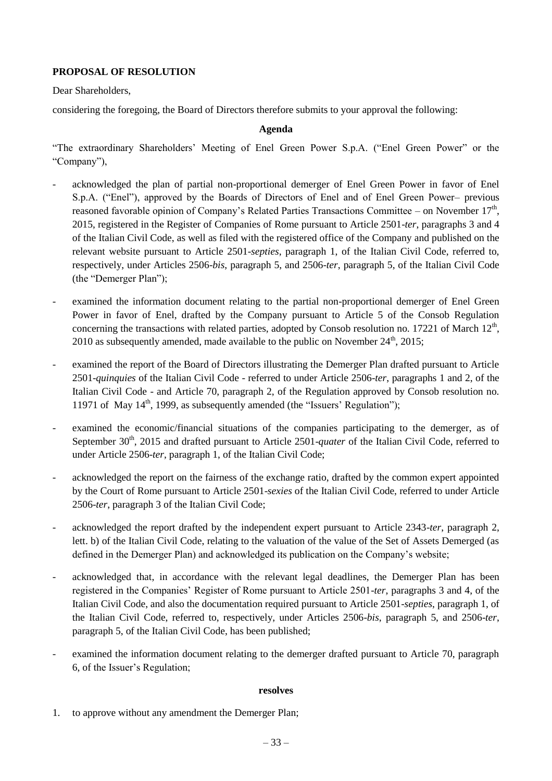## **PROPOSAL OF RESOLUTION**

Dear Shareholders,

considering the foregoing, the Board of Directors therefore submits to your approval the following:

### **Agenda**

"The extraordinary Shareholders' Meeting of Enel Green Power S.p.A. ("Enel Green Power" or the "Company"),

- acknowledged the plan of partial non-proportional demerger of Enel Green Power in favor of Enel S.p.A. ("Enel"), approved by the Boards of Directors of Enel and of Enel Green Power– previous reasoned favorable opinion of Company's Related Parties Transactions Committee – on November  $17<sup>th</sup>$ , 2015, registered in the Register of Companies of Rome pursuant to Article 2501-*ter*, paragraphs 3 and 4 of the Italian Civil Code, as well as filed with the registered office of the Company and published on the relevant website pursuant to Article 2501-*septies*, paragraph 1, of the Italian Civil Code, referred to, respectively, under Articles 2506-*bis*, paragraph 5, and 2506-*ter*, paragraph 5, of the Italian Civil Code (the "Demerger Plan");
- examined the information document relating to the partial non-proportional demerger of Enel Green Power in favor of Enel, drafted by the Company pursuant to Article 5 of the Consob Regulation concerning the transactions with related parties, adopted by Consob resolution no. 17221 of March  $12<sup>th</sup>$ , 2010 as subsequently amended, made available to the public on November  $24^{\text{th}}$ , 2015;
- examined the report of the Board of Directors illustrating the Demerger Plan drafted pursuant to Article 2501-*quinquies* of the Italian Civil Code - referred to under Article 2506-*ter*, paragraphs 1 and 2, of the Italian Civil Code - and Article 70, paragraph 2, of the Regulation approved by Consob resolution no. 11971 of May  $14<sup>th</sup>$ , 1999, as subsequently amended (the "Issuers' Regulation");
- examined the economic/financial situations of the companies participating to the demerger, as of September 30<sup>th</sup>, 2015 and drafted pursuant to Article 2501-*quater* of the Italian Civil Code, referred to under Article 2506-*ter*, paragraph 1, of the Italian Civil Code;
- acknowledged the report on the fairness of the exchange ratio, drafted by the common expert appointed by the Court of Rome pursuant to Article 2501-*sexies* of the Italian Civil Code, referred to under Article 2506-*ter*, paragraph 3 of the Italian Civil Code;
- acknowledged the report drafted by the independent expert pursuant to Article 2343-*ter*, paragraph 2, lett. b) of the Italian Civil Code, relating to the valuation of the value of the Set of Assets Demerged (as defined in the Demerger Plan) and acknowledged its publication on the Company's website;
- acknowledged that, in accordance with the relevant legal deadlines, the Demerger Plan has been registered in the Companies' Register of Rome pursuant to Article 2501-*ter*, paragraphs 3 and 4, of the Italian Civil Code, and also the documentation required pursuant to Article 2501-*septies*, paragraph 1, of the Italian Civil Code, referred to, respectively, under Articles 2506-*bis*, paragraph 5, and 2506-*ter*, paragraph 5, of the Italian Civil Code, has been published;
- examined the information document relating to the demerger drafted pursuant to Article 70, paragraph 6, of the Issuer's Regulation;

### **resolves**

1. to approve without any amendment the Demerger Plan;